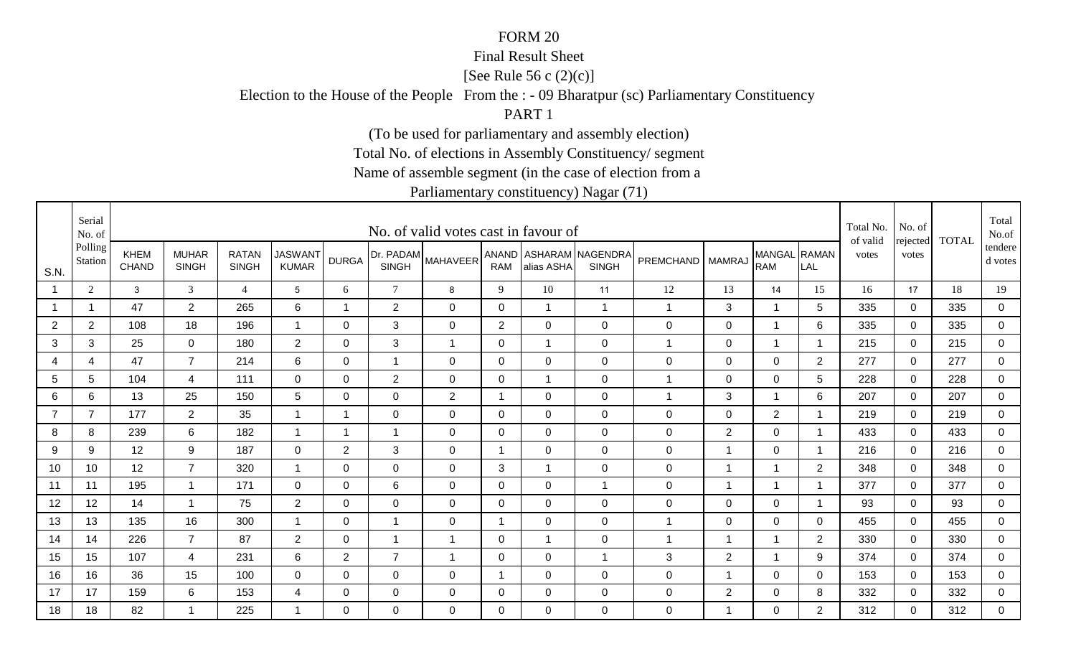#### Final Result Sheet

[See Rule 56 c (2)(c)]

Election to the House of the People From the : - 09 Bharatpur (sc) Parliamentary Constituency

PART 1

(To be used for parliamentary and assembly election)

Total No. of elections in Assembly Constituency/ segment

Name of assemble segment (in the case of election from a

|                | Serial<br>No. of   |                      |                              |                              |                                |                |                           | No. of valid votes cast in favour of |                |             |                                        |                      |                |                            |                | Total No.<br>of valid | No. of            | <b>TOTAL</b> | Total<br>No.of     |
|----------------|--------------------|----------------------|------------------------------|------------------------------|--------------------------------|----------------|---------------------------|--------------------------------------|----------------|-------------|----------------------------------------|----------------------|----------------|----------------------------|----------------|-----------------------|-------------------|--------------|--------------------|
| S.N.           | Polling<br>Station | KHEM<br><b>CHAND</b> | <b>MUHAR</b><br><b>SINGH</b> | <b>RATAN</b><br><b>SINGH</b> | <b>JASWANT</b><br><b>KUMAR</b> | <b>DURGA</b>   | Dr. PADAM<br><b>SINGH</b> | <b>MAHAVEER</b>                      | <b>RAM</b>     | alias ASHA  | ANAND ASHARAM NAGENDRA<br><b>SINGH</b> | <b>PREMCHAND</b>     | <b>MAMRAJ</b>  | MANGAL RAMAN<br><b>RAM</b> | LAL            | votes                 | rejected<br>votes |              | tendere<br>d votes |
|                | 2                  | 3                    | $\mathfrak{Z}$               | $\overline{4}$               | 5                              | 6              | $\tau$                    | 8                                    | 9              | 10          | 11                                     | 12                   | 13             | 14                         | 15             | 16                    | 17                | 18           | 19                 |
|                | $\mathbf 1$        | 47                   | $\overline{2}$               | 265                          | 6                              | $\mathbf 1$    | $\overline{2}$            | $\mathbf 0$                          | $\mathbf 0$    | -1          | $\mathbf{1}$                           | $\mathbf{1}$         | 3              | $\overline{1}$             | 5              | 335                   | $\overline{0}$    | 335          | $\mathbf 0$        |
| $\overline{2}$ | $\overline{2}$     | 108                  | 18                           | 196                          | $\overline{1}$                 | 0              | 3                         | 0                                    | $\overline{2}$ | 0           | $\mathbf 0$                            | 0                    | $\pmb{0}$      | $\overline{1}$             | 6              | 335                   | $\mathbf 0$       | 335          | $\mathbf 0$        |
| 3              | 3                  | 25                   | $\mathbf 0$                  | 180                          | $\overline{2}$                 | 0              | 3                         | $\mathbf 1$                          | 0              | -1          | $\mathbf 0$                            | 1                    | $\mathbf 0$    | $\overline{1}$             |                | 215                   | $\mathbf 0$       | 215          | $\mathbf 0$        |
| $\overline{4}$ | 4                  | 47                   | $\overline{7}$               | 214                          | 6                              | $\Omega$       | $\mathbf{1}$              | 0                                    | 0              | 0           | $\mathbf 0$                            | 0                    | $\mathbf 0$    | $\mathbf 0$                | 2              | 277                   | $\mathbf 0$       | 277          | $\mathbf 0$        |
| 5              | 5                  | 104                  | 4                            | 111                          | $\mathbf 0$                    | 0              | $\overline{2}$            | $\mathbf 0$                          | 0              | -1          | $\mathbf 0$                            | $\overline{1}$       | $\mathsf 0$    | $\mathbf 0$                | 5              | 228                   | $\mathbf 0$       | 228          | $\mathbf 0$        |
| 6              | 6                  | 13                   | 25                           | 150                          | 5                              | $\Omega$       | $\mathbf 0$               | $\overline{2}$                       | -1             | $\Omega$    | $\mathbf 0$                            | $\blacktriangleleft$ | 3              | $\overline{1}$             | 6              | 207                   | $\mathbf 0$       | 207          | $\mathbf 0$        |
| $\overline{7}$ | $\overline{7}$     | 177                  | $\overline{2}$               | 35                           | $\overline{1}$                 | 1              | $\mathbf 0$               | $\mathbf 0$                          | 0              | $\mathbf 0$ | $\mathbf 0$                            | 0                    | $\pmb{0}$      | $\overline{2}$             |                | 219                   | $\mathbf 0$       | 219          | $\overline{0}$     |
| 8              | 8                  | 239                  | 6                            | 182                          | -1                             | -1             | -1                        | $\mathbf 0$                          | 0              | 0           | $\overline{0}$                         | 0                    | $\overline{2}$ | $\mathbf 0$                |                | 433                   | $\mathbf 0$       | 433          | $\mathbf 0$        |
| 9              | 9                  | 12                   | 9                            | 187                          | 0                              | $\overline{2}$ | 3                         | 0                                    | -1             | 0           | $\mathbf 0$                            | 0                    | 1              | $\mathbf 0$                |                | 216                   | $\mathbf 0$       | 216          | $\mathbf 0$        |
| 10             | 10                 | 12                   | $\overline{7}$               | 320                          | -1                             | 0              | $\mathbf 0$               | $\mathbf 0$                          | 3              | -1          | $\mathbf 0$                            | 0                    | $\overline{1}$ | $\overline{1}$             | $\overline{2}$ | 348                   | $\mathbf 0$       | 348          | $\overline{0}$     |
| 11             | 11                 | 195                  | $\overline{1}$               | 171                          | 0                              | $\Omega$       | 6                         | $\mathbf 0$                          | 0              | 0           | $\overline{1}$                         | 0                    | 1              | $\overline{1}$             |                | 377                   | $\mathbf 0$       | 377          | $\mathbf 0$        |
| 12             | 12                 | 14                   | $\mathbf{1}$                 | 75                           | $\overline{2}$                 | 0              | $\mathbf 0$               | $\mathbf 0$                          | 0              | 0           | $\mathbf 0$                            | 0                    | $\mathsf 0$    | $\mathbf 0$                |                | 93                    | $\mathbf 0$       | 93           | $\mathbf 0$        |
| 13             | 13                 | 135                  | 16                           | 300                          | $\overline{1}$                 | $\Omega$       | -1                        | $\mathbf 0$                          | 1              | 0           | $\overline{0}$                         | $\mathbf{1}$         | $\mathbf 0$    | $\mathbf 0$                | $\Omega$       | 455                   | $\mathbf{0}$      | 455          | $\mathbf 0$        |
| 14             | 14                 | 226                  | $\overline{7}$               | 87                           | $\overline{2}$                 | $\Omega$       | $\overline{1}$            | $\mathbf 1$                          | $\mathbf 0$    | -1          | $\mathbf 0$                            | 1                    | $\overline{1}$ | $\overline{1}$             | 2              | 330                   | $\mathbf 0$       | 330          | $\mathbf 0$        |
| 15             | 15                 | 107                  | 4                            | 231                          | 6                              | $\overline{2}$ | $\overline{7}$            | $\mathbf{1}$                         | 0              | 0           | $\mathbf{1}$                           | 3                    | $\overline{2}$ | $\overline{1}$             | 9              | 374                   | $\mathbf 0$       | 374          | $\mathbf 0$        |
| 16             | 16                 | 36                   | 15                           | 100                          | $\mathbf 0$                    | 0              | $\mathbf 0$               | 0                                    | -1             | 0           | $\mathbf 0$                            | 0                    | 1              | $\mathbf 0$                | $\mathbf 0$    | 153                   | 0                 | 153          | $\mathbf 0$        |
| 17             | 17                 | 159                  | 6                            | 153                          | 4                              | 0              | $\mathbf 0$               | $\mathbf 0$                          | 0              | 0           | $\mathbf 0$                            | 0                    | $\overline{2}$ | $\mathbf 0$                | 8              | 332                   | $\mathbf 0$       | 332          | $\mathbf 0$        |
| 18             | 18                 | 82                   | $\mathbf 1$                  | 225                          |                                | $\Omega$       | 0                         | $\Omega$                             | $\Omega$       | $\Omega$    | $\overline{0}$                         | 0                    | -1             | $\mathbf 0$                | $\overline{2}$ | 312                   | $\Omega$          | 312          | $\overline{0}$     |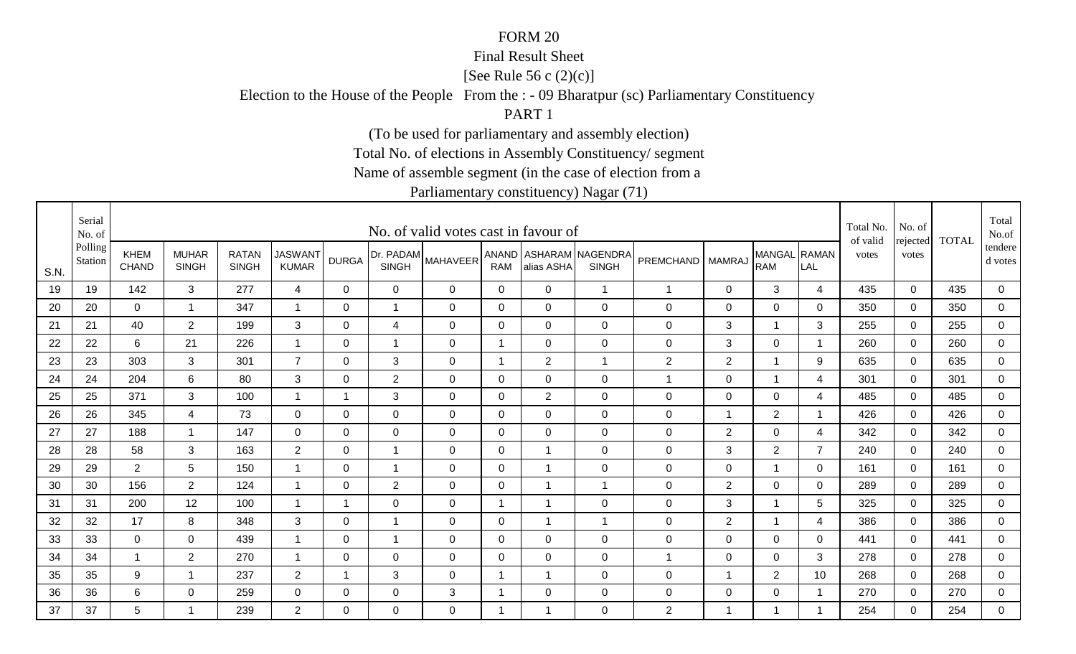#### Final Result Sheet

[See Rule 56 c (2)(c)]

Election to the House of the People From the : - 09 Bharatpur (sc) Parliamentary Constituency

PART 1

(To be used for parliamentary and assembly election)

Total No. of elections in Assembly Constituency/ segment

Name of assemble segment (in the case of election from a

|      | Serial<br>No. of   |                             |                              |                              |                                |                |                           | No. of valid votes cast in favour of |                |                |                                        |                    |                |                            |                | Total No.<br>of valid | No. of<br>rejected | <b>TOTAL</b> | Total<br>No.of     |
|------|--------------------|-----------------------------|------------------------------|------------------------------|--------------------------------|----------------|---------------------------|--------------------------------------|----------------|----------------|----------------------------------------|--------------------|----------------|----------------------------|----------------|-----------------------|--------------------|--------------|--------------------|
| S.N. | Polling<br>Station | <b>KHEM</b><br><b>CHAND</b> | <b>MUHAR</b><br><b>SINGH</b> | <b>RATAN</b><br><b>SINGH</b> | <b>JASWANT</b><br><b>KUMAR</b> | <b>DURGA</b>   | Dr. PADAM<br><b>SINGH</b> | <b>MAHAVEER</b>                      | <b>RAM</b>     | alias ASHA     | ANAND ASHARAM NAGENDRA<br><b>SINGH</b> | PREMCHAND   MAMRAJ |                | MANGAL RAMAN<br><b>RAM</b> | LAL            | votes                 | votes              |              | tendere<br>d votes |
| 19   | 19                 | 142                         | 3                            | 277                          | 4                              | $\Omega$       | $\mathbf 0$               | 0                                    | $\overline{0}$ | 0              | $\overline{1}$                         | $\mathbf{1}$       | $\mathbf 0$    | $\mathbf{3}$               | 4              | 435                   | $\mathbf 0$        | 435          | 0                  |
| 20   | 20                 | $\mathbf 0$                 | $\mathbf{1}$                 | 347                          | -1                             | $\Omega$       | 1                         | $\mathbf 0$                          | $\Omega$       | $\overline{0}$ | $\mathbf 0$                            | $\mathsf 0$        | $\mathbf 0$    | $\mathbf 0$                | 0              | 350                   | $\mathbf 0$        | 350          | $\overline{0}$     |
| 21   | 21                 | 40                          | $2^{\circ}$                  | 199                          | 3                              | 0              | 4                         | 0                                    | 0              | 0              | $\mathbf 0$                            | $\mathbf 0$        | 3              | $\mathbf 1$                | 3              | 255                   | 0                  | 255          | $\overline{0}$     |
| 22   | 22                 | 6                           | 21                           | 226                          | -1                             | $\mathbf 0$    | $\overline{1}$            | $\mathbf 0$                          | $\overline{1}$ | $\overline{0}$ | $\mathbf 0$                            | $\mathsf 0$        | 3              | $\mathbf 0$                | 1              | 260                   | $\mathbf 0$        | 260          | $\mathbf 0$        |
| 23   | 23                 | 303                         | 3                            | 301                          | $\overline{7}$                 | $\Omega$       | 3                         | $\mathbf 0$                          | $\mathbf 1$    | $\overline{2}$ | $\overline{1}$                         | $\overline{2}$     | $\overline{2}$ | $\overline{1}$             | 9              | 635                   | $\Omega$           | 635          | $\overline{0}$     |
| 24   | 24                 | 204                         | 6                            | 80                           | 3                              | $\mathbf 0$    | $\overline{2}$            | $\mathbf 0$                          | $\mathbf 0$    | $\mathbf 0$    | $\mathbf 0$                            | 1                  | $\mathbf 0$    | $\overline{1}$             | 4              | 301                   | $\mathbf 0$        | 301          | $\overline{0}$     |
| 25   | 25                 | 371                         | 3                            | 100                          | -1                             | $\overline{1}$ | 3                         | $\mathbf 0$                          | $\mathbf 0$    | $\overline{2}$ | $\mathbf 0$                            | $\mathsf 0$        | $\mathbf 0$    | $\mathbf 0$                | 4              | 485                   | $\Omega$           | 485          | $\mathbf 0$        |
| 26   | 26                 | 345                         | 4                            | 73                           | $\mathbf 0$                    | 0              | $\mathbf 0$               | 0                                    | 0              | 0              | $\mathbf 0$                            | $\mathbf 0$        | -1             | $\overline{2}$             | -1             | 426                   | 0                  | 426          | 0                  |
| 27   | 27                 | 188                         | $\mathbf{1}$                 | 147                          | 0                              | $\Omega$       | 0                         | 0                                    | 0              | 0              | $\mathbf 0$                            | $\mathbf 0$        | $\overline{2}$ | $\mathbf 0$                | 4              | 342                   | $\Omega$           | 342          | 0                  |
| 28   | 28                 | 58                          | 3                            | 163                          | $\overline{2}$                 | $\Omega$       | $\overline{1}$            | 0                                    | 0              |                | $\mathbf 0$                            | $\mathbf 0$        | 3              | $\overline{2}$             | $\overline{7}$ | 240                   | $\Omega$           | 240          | $\overline{0}$     |
| 29   | 29                 | 2                           | 5                            | 150                          | $\overline{1}$                 | $\Omega$       | $\mathbf{1}$              | $\mathbf 0$                          | $\Omega$       |                | $\mathbf 0$                            | $\mathbf 0$        | $\mathbf 0$    | $\mathbf{1}$               | $\Omega$       | 161                   | $\mathbf 0$        | 161          | $\overline{0}$     |
| 30   | 30                 | 156                         | $\overline{2}$               | 124                          | -1                             | 0              | $\overline{2}$            | $\mathbf 0$                          | 0              |                | $\overline{1}$                         | 0                  | $\overline{2}$ | $\mathbf 0$                | 0              | 289                   | $\overline{0}$     | 289          | 0                  |
| 31   | 31                 | 200                         | 12                           | 100                          | $\overline{1}$                 | 1              | 0                         | 0                                    | $\mathbf 1$    |                | $\mathbf 0$                            | $\mathbf 0$        | 3              | 1                          | 5              | 325                   | 0                  | 325          | 0                  |
| 32   | 32                 | 17                          | 8                            | 348                          | 3                              | 0              | -1                        | 0                                    | 0              |                | $\overline{1}$                         | $\mathbf 0$        | $\overline{2}$ |                            | 4              | 386                   | $\mathbf 0$        | 386          | 0                  |
| 33   | 33                 | $\mathbf 0$                 | $\overline{0}$               | 439                          | $\overline{1}$                 | 0              | $\overline{1}$            | $\mathbf 0$                          | 0              | 0              | $\mathbf 0$                            | $\mathbf 0$        | $\mathbf 0$    | $\mathbf 0$                | 0              | 441                   | $\mathbf 0$        | 441          | $\overline{0}$     |
| 34   | 34                 | $\overline{1}$              | $\overline{2}$               | 270                          | -1                             | 0              | $\mathbf 0$               | $\mathbf 0$                          | $\mathbf 0$    | 0              | $\mathbf 0$                            | $\mathbf{1}$       | $\mathbf 0$    | 0                          | 3              | 278                   | 0                  | 278          | $\overline{0}$     |
| 35   | 35                 | 9                           | $\overline{1}$               | 237                          | $\overline{2}$                 | -1             | 3                         | $\mathbf 0$                          | -1             |                | $\mathbf 0$                            | $\mathbf 0$        | $\overline{1}$ | $\overline{2}$             | 10             | 268                   | $\mathbf 0$        | 268          | 0                  |
| 36   | 36                 | 6                           | $\overline{0}$               | 259                          | $\overline{0}$                 | 0              | $\mathbf 0$               | 3                                    | -1             | 0              | $\mathbf 0$                            | 0                  | $\mathbf 0$    | $\mathbf 0$                |                | 270                   | $\mathbf 0$        | 270          | $\overline{0}$     |
| 37   | 37                 | 5                           | 1                            | 239                          | $\overline{2}$                 | $\Omega$       | 0                         | $\Omega$                             | -1             |                | $\mathbf 0$                            | 2                  | 1              |                            |                | 254                   | $\Omega$           | 254          | $\mathbf 0$        |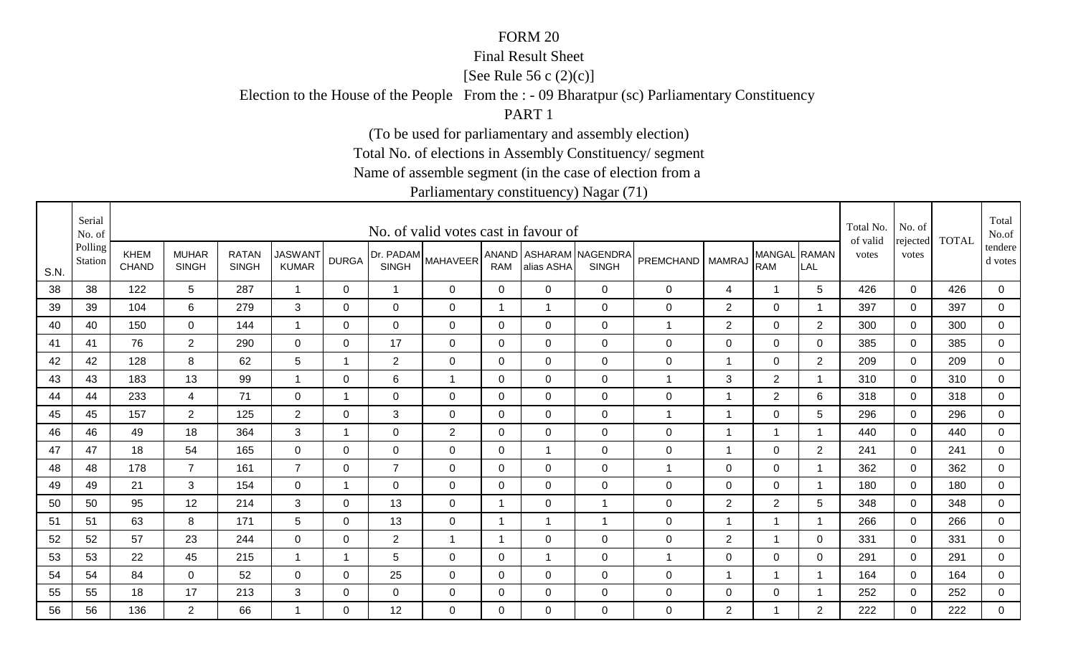#### Final Result Sheet

[See Rule 56 c (2)(c)]

Election to the House of the People From the : - 09 Bharatpur (sc) Parliamentary Constituency

PART 1

(To be used for parliamentary and assembly election)

Total No. of elections in Assembly Constituency/ segment

Name of assemble segment (in the case of election from a

|      | Serial<br>No. of   |                      |                              |                              |                                |              |                           | No. of valid votes cast in favour of |                |                |                                        |                    |                |                            |                          | Total No.<br>of valid | No. of            | <b>TOTAL</b> | Total<br>No.of     |
|------|--------------------|----------------------|------------------------------|------------------------------|--------------------------------|--------------|---------------------------|--------------------------------------|----------------|----------------|----------------------------------------|--------------------|----------------|----------------------------|--------------------------|-----------------------|-------------------|--------------|--------------------|
| S.N. | Polling<br>Station | KHEM<br><b>CHAND</b> | <b>MUHAR</b><br><b>SINGH</b> | <b>RATAN</b><br><b>SINGH</b> | <b>JASWANT</b><br><b>KUMAR</b> | <b>DURGA</b> | Dr. PADAM<br><b>SINGH</b> | <b>MAHAVEER</b>                      | <b>RAM</b>     | alias ASHA     | ANAND ASHARAM NAGENDRA<br><b>SINGH</b> | PREMCHAND   MAMRAJ |                | MANGAL RAMAN<br><b>RAM</b> | LAL                      | votes                 | rejected<br>votes |              | tendere<br>d votes |
| 38   | 38                 | 122                  | $5\overline{)}$              | 287                          | $\overline{1}$                 | 0            | $\mathbf 1$               | $\mathbf 0$                          | $\overline{0}$ | $\mathbf 0$    | $\mathbf 0$                            | $\pmb{0}$          | 4              | $\mathbf 1$                | 5                        | 426                   | $\mathbf 0$       | 426          | $\overline{0}$     |
| 39   | 39                 | 104                  | 6                            | 279                          | 3                              | $\mathbf 0$  | $\mathbf 0$               | $\mathbf 0$                          | 1              | $\overline{1}$ | $\mathbf 0$                            | $\pmb{0}$          | $\overline{2}$ | $\mathbf 0$                |                          | 397                   | $\mathbf 0$       | 397          | $\overline{0}$     |
| 40   | 40                 | 150                  | 0                            | 144                          |                                | 0            | $\mathbf 0$               | $\mathbf 0$                          | 0              | $\mathbf 0$    | $\mathbf 0$                            | $\mathbf 1$        | $\overline{2}$ | $\mathbf 0$                | $\overline{2}$           | 300                   | 0                 | 300          | $\mathbf 0$        |
| 41   | 41                 | 76                   | $\overline{2}$               | 290                          | $\overline{0}$                 | 0            | 17                        | $\mathbf 0$                          | $\mathbf{0}$   | $\Omega$       | $\mathbf 0$                            | $\mathbf 0$        | $\mathbf 0$    | $\mathbf 0$                | 0                        | 385                   | $\mathbf 0$       | 385          | $\mathbf 0$        |
| 42   | 42                 | 128                  | 8                            | 62                           | 5                              | $\mathbf 1$  | 2                         | $\mathbf 0$                          | $\mathbf 0$    | $\mathbf 0$    | $\mathbf 0$                            | $\pmb{0}$          | $\overline{1}$ | $\overline{0}$             | $\overline{2}$           | 209                   | $\mathbf 0$       | 209          | $\overline{0}$     |
| 43   | 43                 | 183                  | 13                           | 99                           | $\overline{1}$                 | $\mathbf 0$  | 6                         | $\overline{1}$                       | $\mathbf 0$    | $\overline{0}$ | $\mathbf 0$                            | $\mathbf 1$        | 3              | $\overline{2}$             | $\overline{1}$           | 310                   | $\mathbf 0$       | 310          | $\overline{0}$     |
| 44   | 44                 | 233                  | $\overline{4}$               | 71                           | $\mathbf 0$                    | 1            | $\mathbf 0$               | $\mathbf 0$                          | $\mathbf 0$    | $\mathbf 0$    | $\mathbf 0$                            | $\mathbf 0$        | $\overline{1}$ | $\overline{2}$             | 6                        | 318                   | $\Omega$          | 318          | 0                  |
| 45   | 45                 | 157                  | $\overline{2}$               | 125                          | $\overline{2}$                 | 0            | 3                         | $\mathbf 0$                          | 0              | $\mathbf 0$    | $\mathbf 0$                            | $\mathbf 1$        | -1             | 0                          | 5                        | 296                   | 0                 | 296          | 0                  |
| 46   | 46                 | 49                   | 18                           | 364                          | 3                              | -1           | 0                         | 2                                    | 0              | $\mathbf 0$    | $\mathbf 0$                            | $\mathbf 0$        | -1             | 1                          |                          | 440                   | $\mathbf{0}$      | 440          | 0                  |
| 47   | 47                 | 18                   | 54                           | 165                          | 0                              | 0            | 0                         | $\mathbf 0$                          | 0              | $\mathbf 1$    | $\mathbf 0$                            | $\mathbf 0$        | $\overline{1}$ | $\mathbf 0$                | $\overline{2}$           | 241                   | $\mathbf{0}$      | 241          | $\overline{0}$     |
| 48   | 48                 | 178                  | $\overline{7}$               | 161                          | $\overline{7}$                 | $\Omega$     | $\overline{7}$            | $\mathbf 0$                          | $\mathbf 0$    | $\mathbf 0$    | $\mathbf 0$                            | 1                  | $\mathbf 0$    | $\mathbf 0$                |                          | 362                   | $\mathbf 0$       | 362          | $\overline{0}$     |
| 49   | 49                 | 21                   | 3                            | 154                          | 0                              | 1            | $\mathbf 0$               | $\mathbf 0$                          | 0              | $\mathbf 0$    | $\mathbf 0$                            | 0                  | 0              | $\mathbf 0$                | $\overline{\phantom{a}}$ | 180                   | $\mathbf 0$       | 180          | 0                  |
| 50   | 50                 | 95                   | 12                           | 214                          | 3                              | 0            | 13                        | $\mathbf 0$                          | -1             | $\mathbf 0$    | $\overline{1}$                         | $\mathbf 0$        | $\overline{2}$ | $\overline{2}$             | 5                        | 348                   | 0                 | 348          | 0                  |
| 51   | 51                 | 63                   | 8                            | 171                          | 5                              | 0            | 13                        | 0                                    | -1             | $\mathbf{1}$   | 1                                      | $\mathbf 0$        | -1             | 1                          | -1                       | 266                   | $\mathbf{0}$      | 266          | $\overline{0}$     |
| 52   | 52                 | 57                   | 23                           | 244                          | $\mathbf 0$                    | 0            | $\overline{2}$            | $\overline{1}$                       | -1             | $\overline{0}$ | $\mathbf 0$                            | $\mathbf 0$        | $\overline{2}$ | $\mathbf 1$                | 0                        | 331                   | $\mathbf 0$       | 331          | $\overline{0}$     |
| 53   | 53                 | 22                   | 45                           | 215                          |                                | 1            | 5                         | $\mathbf 0$                          | 0              | $\mathbf{1}$   | $\mathbf 0$                            | 1                  | $\mathbf 0$    | $\mathbf 0$                | 0                        | 291                   | $\mathbf 0$       | 291          | $\mathbf 0$        |
| 54   | 54                 | 84                   | $\mathbf 0$                  | 52                           | $\mathbf 0$                    | $\Omega$     | 25                        | $\mathbf 0$                          | 0              | $\mathbf 0$    | $\mathbf 0$                            | $\pmb{0}$          | -1             | 1                          |                          | 164                   | $\mathbf 0$       | 164          | 0                  |
| 55   | 55                 | 18                   | 17                           | 213                          | 3                              | 0            | $\mathbf 0$               | $\mathbf 0$                          | 0              | $\mathbf 0$    | $\mathbf 0$                            | $\pmb{0}$          | $\pmb{0}$      | $\mathbf 0$                |                          | 252                   | $\mathbf 0$       | 252          | $\overline{0}$     |
| 56   | 56                 | 136                  | $\overline{2}$               | 66                           |                                | $\Omega$     | 12                        | $\Omega$                             | $\Omega$       | $\Omega$       | $\overline{0}$                         | 0                  | $\overline{2}$ | 1                          | $\overline{2}$           | 222                   | $\Omega$          | 222          | $\mathbf 0$        |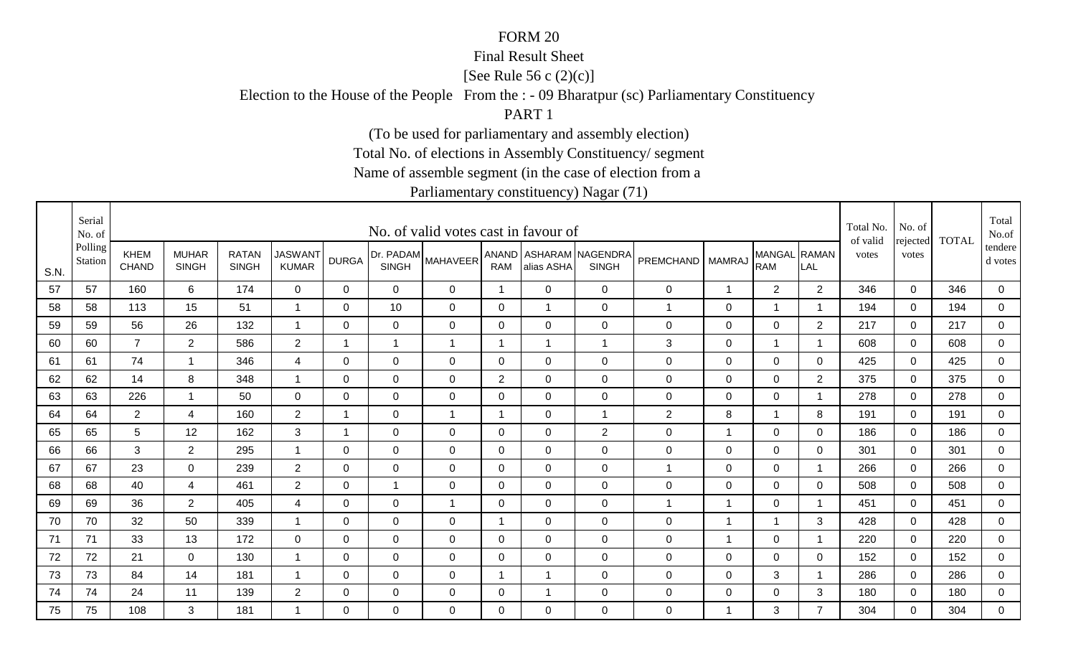#### Final Result Sheet

[See Rule 56 c (2)(c)]

Election to the House of the People From the : - 09 Bharatpur (sc) Parliamentary Constituency

PART 1

(To be used for parliamentary and assembly election)

Total No. of elections in Assembly Constituency/ segment

Name of assemble segment (in the case of election from a

|      | Serial<br>No. of   |                             |                              |                              |                                |                |                           | No. of valid votes cast in favour of |                |                |                                        |                    |                |                            |                         | Total No.<br>of valid | No. of<br>rejected | <b>TOTAL</b> | Total<br>No.of       |
|------|--------------------|-----------------------------|------------------------------|------------------------------|--------------------------------|----------------|---------------------------|--------------------------------------|----------------|----------------|----------------------------------------|--------------------|----------------|----------------------------|-------------------------|-----------------------|--------------------|--------------|----------------------|
| S.N. | Polling<br>Station | <b>KHEM</b><br><b>CHAND</b> | <b>MUHAR</b><br><b>SINGH</b> | <b>RATAN</b><br><b>SINGH</b> | <b>JASWANT</b><br><b>KUMAR</b> | <b>DURGA</b>   | Dr. PADAM<br><b>SINGH</b> | <b>MAHAVEER</b>                      | <b>RAM</b>     | alias ASHA     | ANAND ASHARAM NAGENDRA<br><b>SINGH</b> | PREMCHAND   MAMRAJ |                | MANGAL RAMAN<br><b>RAM</b> | LAL                     | votes                 | votes              |              | tendere  <br>d votes |
| 57   | 57                 | 160                         | 6                            | 174                          | $\mathbf 0$                    | $\Omega$       | 0                         | 0                                    | $\mathbf{1}$   | $\Omega$       | $\mathbf 0$                            | $\mathbf 0$        | $\mathbf{1}$   | $\overline{2}$             | 2                       | 346                   | $\mathbf 0$        | 346          | $\mathbf 0$          |
| 58   | 58                 | 113                         | 15                           | 51                           | -1                             | 0              | 10                        | $\mathbf 0$                          | 0              |                | $\mathbf 0$                            | 1                  | 0              | $\mathbf 1$                |                         | 194                   | 0                  | 194          | $\mathbf 0$          |
| 59   | 59                 | 56                          | 26                           | 132                          | $\overline{1}$                 | 0              | $\mathbf 0$               | 0                                    | 0              | 0              | $\mathbf 0$                            | $\mathbf 0$        | 0              | 0                          | 2                       | 217                   | 0                  | 217          | 0                    |
| 60   | 60                 | $\overline{7}$              | $\overline{2}$               | 586                          | $\overline{2}$                 | $\overline{1}$ | $\mathbf 1$               | $\mathbf{1}$                         | $\mathbf 1$    |                | $\overline{1}$                         | 3                  | 0              |                            | $\overline{\mathbf{1}}$ | 608                   | $\Omega$           | 608          | 0                    |
| 61   | 61                 | 74                          | $\mathbf{1}$                 | 346                          | $\overline{4}$                 | $\Omega$       | $\mathbf 0$               | $\mathbf 0$                          | $\mathbf 0$    | $\Omega$       | $\mathbf 0$                            | $\boldsymbol{0}$   | $\mathbf 0$    | $\mathbf 0$                | $\Omega$                | 425                   | $\Omega$           | 425          | $\overline{0}$       |
| 62   | 62                 | 14                          | 8                            | 348                          | $\overline{1}$                 | $\mathbf 0$    | $\mathbf 0$               | $\mathbf 0$                          | $\overline{2}$ | $\overline{0}$ | $\mathbf 0$                            | $\boldsymbol{0}$   | $\mathbf 0$    | $\overline{0}$             | $\overline{2}$          | 375                   | $\mathbf 0$        | 375          | $\overline{0}$       |
| 63   | 63                 | 226                         | $\overline{1}$               | 50                           | $\overline{0}$                 | $\mathbf 0$    | $\mathbf 0$               | $\mathbf 0$                          | $\mathbf 0$    | $\Omega$       | $\mathbf 0$                            | $\boldsymbol{0}$   | $\mathbf 0$    | $\mathbf 0$                | -1                      | 278                   | $\overline{0}$     | 278          | 0                    |
| 64   | 64                 | $\overline{2}$              | $\overline{4}$               | 160                          | $\overline{2}$                 | $\mathbf 1$    | $\mathbf 0$               | $\overline{1}$                       | $\mathbf 1$    | $\overline{0}$ | $\overline{1}$                         | $\overline{2}$     | 8              | $\mathbf{1}$               | 8                       | 191                   | $\mathbf 0$        | 191          | $\mathbf 0$          |
| 65   | 65                 | 5                           | 12                           | 162                          | 3                              | -1             | 0                         | $\mathbf 0$                          | 0              | $\overline{0}$ | 2                                      | $\mathbf 0$        | 1              | $\mathbf 0$                | $\mathbf 0$             | 186                   | $\mathbf 0$        | 186          | 0                    |
| 66   | 66                 | 3                           | $\overline{2}$               | 295                          | $\overline{1}$                 | $\mathbf 0$    | $\mathbf 0$               | $\mathbf 0$                          | $\mathbf 0$    | $\overline{0}$ | $\mathbf 0$                            | 0                  | $\mathbf 0$    | $\mathbf 0$                | $\Omega$                | 301                   | $\mathbf 0$        | 301          | $\overline{0}$       |
| 67   | 67                 | 23                          | $\mathbf 0$                  | 239                          | $\overline{2}$                 | 0              | $\mathbf 0$               | $\mathbf 0$                          | $\mathbf 0$    | 0              | $\mathbf 0$                            | $\mathbf{1}$       | $\mathbf 0$    | $\mathbf 0$                | - 1                     | 266                   | 0                  | 266          | $\mathbf 0$          |
| 68   | 68                 | 40                          | 4                            | 461                          | $\overline{2}$                 | 0              | $\overline{1}$            | $\mathbf 0$                          | 0              | $\overline{0}$ | $\mathbf 0$                            | $\mathbf 0$        | $\mathbf 0$    | 0                          | $\mathbf 0$             | 508                   | $\mathbf 0$        | 508          | 0                    |
| 69   | 69                 | 36                          | $\overline{2}$               | 405                          | 4                              | 0              | $\mathbf 0$               | $\overline{1}$                       | 0              | $\overline{0}$ | $\mathbf 0$                            | 1                  | -1             | 0                          |                         | 451                   | $\mathbf 0$        | 451          | $\overline{0}$       |
| 70   | 70                 | 32                          | 50                           | 339                          | $\overline{1}$                 | $\Omega$       | $\mathbf 0$               | $\mathbf 0$                          | -1             | $\Omega$       | $\mathbf 0$                            | $\mathbf 0$        | $\overline{1}$ | $\overline{1}$             | 3                       | 428                   | $\Omega$           | 428          | 0                    |
| 71   | 71                 | 33                          | 13                           | 172                          | $\mathbf 0$                    | $\mathbf 0$    | $\mathbf 0$               | $\mathbf 0$                          | $\mathbf 0$    | $\mathbf 0$    | $\mathbf 0$                            | $\boldsymbol{0}$   | $\overline{1}$ | $\mathbf 0$                | $\overline{ }$          | 220                   | $\overline{0}$     | 220          | $\mathbf 0$          |
| 72   | 72                 | 21                          | $\mathbf 0$                  | 130                          | -1                             | 0              | $\mathbf 0$               | $\mathbf 0$                          | 0              | 0              | $\mathbf 0$                            | $\mathbf 0$        | $\mathbf 0$    | 0                          | 0                       | 152                   | $\Omega$           | 152          | $\mathbf 0$          |
| 73   | 73                 | 84                          | 14                           | 181                          |                                | 0              | $\mathbf 0$               | $\mathbf 0$                          | -1             |                | $\mathbf 0$                            | $\mathbf 0$        | $\mathbf 0$    | 3                          | -1                      | 286                   | $\mathbf 0$        | 286          | 0                    |
| 74   | 74                 | 24                          | 11                           | 139                          | $\overline{2}$                 | 0              | $\mathbf 0$               | $\mathbf 0$                          | 0              |                | $\mathbf 0$                            | $\mathbf 0$        | $\mathbf 0$    | $\mathbf 0$                | 3                       | 180                   | $\mathbf 0$        | 180          | $\overline{0}$       |
| 75   | 75                 | 108                         | 3                            | 181                          | -1                             | $\Omega$       | 0                         | $\Omega$                             | $\Omega$       | $\Omega$       | $\mathbf 0$                            | $\mathbf 0$        | $\overline{1}$ | 3                          | $\overline{7}$          | 304                   | $\Omega$           | 304          | $\overline{0}$       |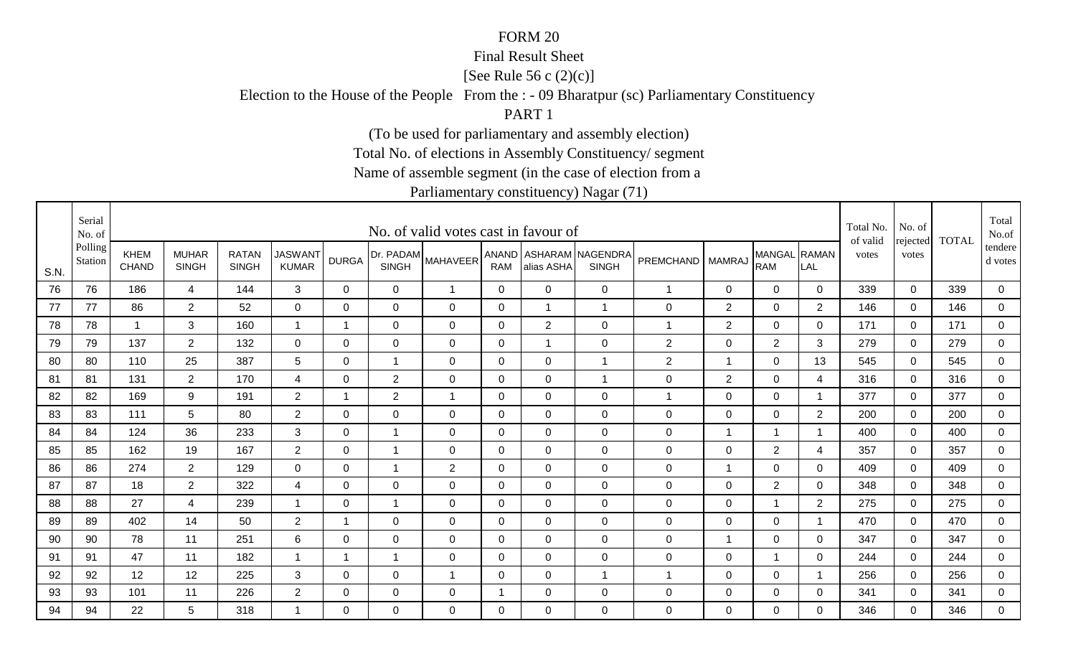#### Final Result Sheet

[See Rule 56 c (2)(c)]

Election to the House of the People From the : - 09 Bharatpur (sc) Parliamentary Constituency

PART 1

(To be used for parliamentary and assembly election)

Total No. of elections in Assembly Constituency/ segment

Name of assemble segment (in the case of election from a

|      | Serial<br>No. of   |                             |                              |                              |                                |              |                           | No. of valid votes cast in favour of |              |                |                                        |                  |                |                            |                | Total No.<br>of valid | No. of<br>rejected | <b>TOTAL</b> | Total<br>No.of       |
|------|--------------------|-----------------------------|------------------------------|------------------------------|--------------------------------|--------------|---------------------------|--------------------------------------|--------------|----------------|----------------------------------------|------------------|----------------|----------------------------|----------------|-----------------------|--------------------|--------------|----------------------|
| S.N. | Polling<br>Station | <b>KHEM</b><br><b>CHAND</b> | <b>MUHAR</b><br><b>SINGH</b> | <b>RATAN</b><br><b>SINGH</b> | <b>JASWANT</b><br><b>KUMAR</b> | <b>DURGA</b> | Dr. PADAM<br><b>SINGH</b> | <b>MAHAVEER</b>                      | <b>RAM</b>   | alias ASHA     | ANAND ASHARAM NAGENDRA<br><b>SINGH</b> | <b>PREMCHAND</b> | <b>MAMRAJ</b>  | MANGAL RAMAN<br><b>RAM</b> | LAL            | votes                 | votes              |              | tendere  <br>d votes |
| 76   | 76                 | 186                         | $\overline{4}$               | 144                          | $\mathbf{3}$                   | $\mathbf{0}$ | $\mathbf 0$               | $\mathbf{1}$                         | $\mathbf 0$  | $\Omega$       | $\mathbf 0$                            | $\mathbf{1}$     | 0              | $\overline{0}$             | $\Omega$       | 339                   | $\mathbf 0$        | 339          | 0                    |
| 77   | 77                 | 86                          | $\overline{2}$               | 52                           | $\mathbf 0$                    | $\Omega$     | 0                         | $\mathbf 0$                          | $\mathbf 0$  |                | $\overline{1}$                         | 0                | $\overline{2}$ | $\mathbf 0$                | $\overline{2}$ | 146                   | $\Omega$           | 146          | $\overline{0}$       |
| 78   | 78                 | $\overline{1}$              | 3                            | 160                          | -1                             | 1            | $\mathbf 0$               | 0                                    | 0            | $\overline{2}$ | $\mathbf 0$                            | 1                | 2              | 0                          | 0              | 171                   | 0                  | 171          | 0                    |
| 79   | 79                 | 137                         | $\overline{2}$               | 132                          | 0                              | 0            | 0                         | 0                                    | 0            |                | $\mathbf 0$                            | $\overline{c}$   | 0              | $\overline{2}$             | 3              | 279                   | $\Omega$           | 279          | 0                    |
| 80   | 80                 | 110                         | 25                           | 387                          | 5                              | $\Omega$     | $\mathbf{1}$              | $\mathbf 0$                          | $\mathbf 0$  | $\Omega$       | $\overline{1}$                         | $\mathbf{2}$     | $\overline{1}$ | $\mathbf 0$                | 13             | 545                   | $\Omega$           | 545          | $\overline{0}$       |
| 81   | 81                 | 131                         | $\overline{2}$               | 170                          | $\overline{4}$                 | $\mathbf 0$  | $\overline{2}$            | $\mathbf 0$                          | $\mathbf 0$  | $\overline{0}$ | $\overline{1}$                         | $\boldsymbol{0}$ | 2              | $\mathbf 0$                | 4              | 316                   | $\mathbf 0$        | 316          | $\overline{0}$       |
| 82   | 82                 | 169                         | 9                            | 191                          | $\overline{2}$                 | -1           | $\overline{2}$            | $\overline{1}$                       | $\mathbf 0$  | $\mathbf 0$    | $\mathbf 0$                            | 1                | $\mathbf 0$    | $\mathbf 0$                | - 1            | 377                   | $\overline{0}$     | 377          | 0                    |
| 83   | 83                 | 111                         | 5                            | 80                           | $\overline{2}$                 | 0            | $\mathbf 0$               | $\mathbf 0$                          | 0            | $\overline{0}$ | $\mathbf 0$                            | $\pmb{0}$        | $\mathbf 0$    | $\mathbf 0$                | $\overline{2}$ | 200                   | $\mathbf 0$        | 200          | $\mathbf 0$          |
| 84   | 84                 | 124                         | 36                           | 233                          | 3                              | 0            | -1                        | $\mathbf 0$                          | 0            | $\overline{0}$ | $\mathbf 0$                            | $\mathbf 0$      | -1             |                            | -1             | 400                   | $\mathbf 0$        | 400          | 0                    |
| 85   | 85                 | 162                         | 19                           | 167                          | $\overline{2}$                 | $\Omega$     | $\overline{1}$            | $\mathbf 0$                          | $\mathbf 0$  | $\mathbf 0$    | $\mathbf 0$                            | 0                | $\mathbf 0$    | $\overline{2}$             | 4              | 357                   | $\mathbf 0$        | 357          | $\overline{0}$       |
| 86   | 86                 | 274                         | $\overline{2}$               | 129                          | $\mathbf 0$                    | 0            | $\mathbf 1$               | $\overline{2}$                       | 0            | 0              | $\mathbf 0$                            | 0                | $\overline{1}$ | $\mathbf 0$                | 0              | 409                   | 0                  | 409          | $\mathbf 0$          |
| 87   | 87                 | 18                          | $\overline{2}$               | 322                          | 4                              | $\Omega$     | $\mathbf 0$               | $\mathbf 0$                          | 0            | $\overline{0}$ | $\mathbf 0$                            | $\mathbf 0$      | $\mathbf 0$    | $\overline{2}$             | 0              | 348                   | $\mathbf 0$        | 348          | 0                    |
| 88   | 88                 | 27                          | $\overline{4}$               | 239                          | -1                             | 0            | $\mathbf 1$               | $\mathbf 0$                          | 0            | $\overline{0}$ | $\mathbf 0$                            | 0                | $\mathbf 0$    |                            | $\overline{2}$ | 275                   | $\mathbf 0$        | 275          | $\overline{0}$       |
| 89   | 89                 | 402                         | 14                           | 50                           | $\overline{2}$                 | $\mathbf 1$  | $\mathbf 0$               | $\mathbf 0$                          | $\mathbf{0}$ | $\Omega$       | $\mathbf 0$                            | $\mathbf 0$      | $\mathbf 0$    | $\mathbf 0$                | - 1            | 470                   | $\Omega$           | 470          | 0                    |
| 90   | 90                 | 78                          | 11                           | 251                          | 6                              | $\mathbf 0$  | $\mathbf 0$               | $\mathbf 0$                          | $\mathbf 0$  | $\mathbf 0$    | $\mathbf 0$                            | $\mathsf 0$      | $\overline{1}$ | $\mathbf 0$                | $\mathbf 0$    | 347                   | $\mathbf 0$        | 347          | $\mathbf 0$          |
| 91   | 91                 | 47                          | 11                           | 182                          | -1                             | $\mathbf 1$  | $\overline{1}$            | $\mathbf 0$                          | 0            | 0              | $\mathbf 0$                            | $\mathbf 0$      | $\mathbf 0$    | $\overline{1}$             | 0              | 244                   | $\Omega$           | 244          | $\mathbf 0$          |
| 92   | 92                 | 12                          | 12                           | 225                          | 3                              | 0            | $\mathbf 0$               | -1                                   | $\mathbf 0$  | 0              | $\overline{1}$                         | 1                | $\mathbf 0$    | $\mathbf 0$                | -1             | 256                   | $\mathbf 0$        | 256          | 0                    |
| 93   | 93                 | 101                         | 11                           | 226                          | $\overline{2}$                 | 0            | $\mathbf 0$               | 0                                    |              | 0              | $\mathbf 0$                            | $\mathbf 0$      | $\mathbf 0$    | $\mathbf 0$                | 0              | 341                   | $\mathbf 0$        | 341          | $\overline{0}$       |
| 94   | 94                 | 22                          | 5                            | 318                          | -1                             | $\Omega$     | 0                         | $\Omega$                             | $\Omega$     | $\Omega$       | $\mathbf 0$                            | 0                | $\Omega$       | 0                          | $\Omega$       | 346                   | $\Omega$           | 346          | $\mathbf 0$          |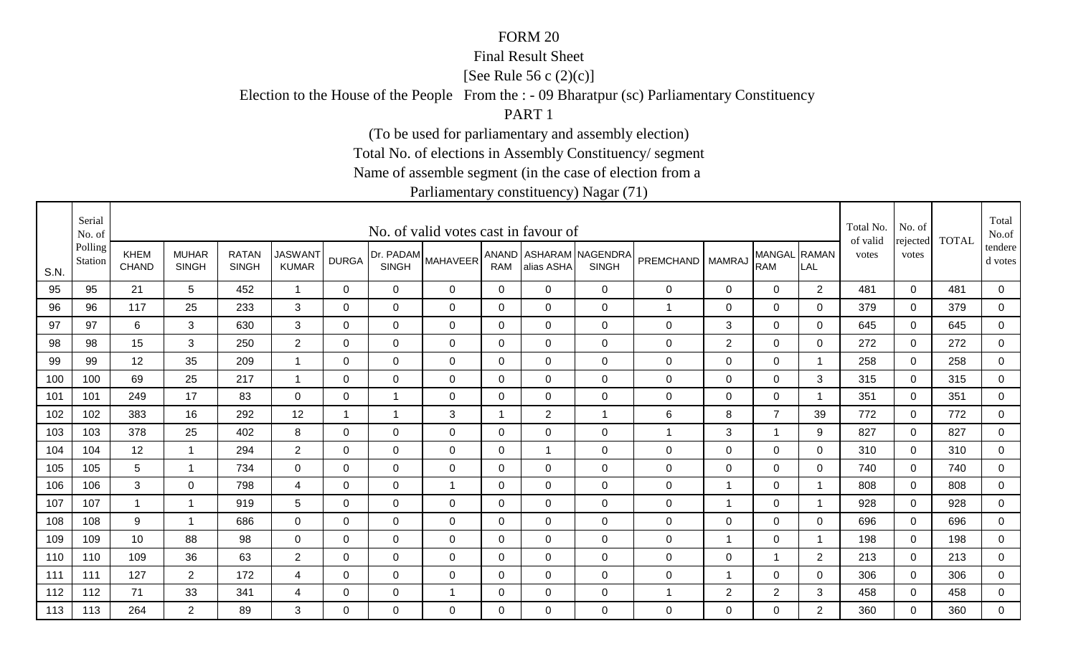#### Final Result Sheet

[See Rule 56 c (2)(c)]

Election to the House of the People From the : - 09 Bharatpur (sc) Parliamentary Constituency

PART 1

(To be used for parliamentary and assembly election)

Total No. of elections in Assembly Constituency/ segment

Name of assemble segment (in the case of election from a

|      | Serial<br>No. of   |                             |                              |                              |                                |              |                           | No. of valid votes cast in favour of |                |                |                                        |                      |                |                             |                                       | Total No.<br>of valid | No. of            | <b>TOTAL</b> | Total<br>No.of     |
|------|--------------------|-----------------------------|------------------------------|------------------------------|--------------------------------|--------------|---------------------------|--------------------------------------|----------------|----------------|----------------------------------------|----------------------|----------------|-----------------------------|---------------------------------------|-----------------------|-------------------|--------------|--------------------|
| S.N. | Polling<br>Station | <b>KHEM</b><br><b>CHAND</b> | <b>MUHAR</b><br><b>SINGH</b> | <b>RATAN</b><br><b>SINGH</b> | <b>JASWANT</b><br><b>KUMAR</b> | <b>DURGA</b> | Dr. PADAM<br><b>SINGH</b> | <b>MAHAVEER</b>                      | <b>RAM</b>     | alias ASHA     | ANAND ASHARAM NAGENDRA<br><b>SINGH</b> | <b>PREMCHAND</b>     | <b>MAMRAJ</b>  | <b>MANGAL</b><br><b>RAM</b> | $\overline{\phantom{a}}$ RAMAN<br>LAL | votes                 | rejected<br>votes |              | tendere<br>d votes |
| 95   | 95                 | 21                          | 5                            | 452                          | $\overline{1}$                 | $\mathbf 0$  | $\mathbf 0$               | $\mathbf 0$                          | $\mathbf 0$    | $\overline{0}$ | $\mathbf 0$                            | 0                    | $\mathsf 0$    | $\mathbf 0$                 | $\overline{2}$                        | 481                   | $\mathbf 0$       | 481          | $\mathbf 0$        |
| 96   | 96                 | 117                         | 25                           | 233                          | 3                              | $\Omega$     | $\mathbf 0$               | $\mathbf 0$                          | $\Omega$       | $\overline{0}$ | $\mathbf 0$                            | $\blacktriangleleft$ | $\mathbf 0$    | $\mathbf 0$                 | $\Omega$                              | 379                   | $\Omega$          | 379          | $\mathbf 0$        |
| 97   | 97                 | 6                           | 3                            | 630                          | 3                              | 0            | $\mathbf 0$               | 0                                    | 0              | 0              | $\mathbf 0$                            | 0                    | $\sqrt{3}$     | $\mathbf 0$                 | 0                                     | 645                   | $\mathbf 0$       | 645          | $\mathbf 0$        |
| 98   | 98                 | 15                          | 3                            | 250                          | $\overline{2}$                 | 0            | 0                         | $\mathbf 0$                          | 0              | $\mathbf 0$    | $\mathbf 0$                            | 0                    | 2              | $\mathbf 0$                 | $\mathbf 0$                           | 272                   | $\mathbf 0$       | 272          | $\mathbf 0$        |
| 99   | 99                 | 12                          | 35                           | 209                          | $\overline{1}$                 | $\Omega$     | 0                         | 0                                    | 0              | 0              | $\mathbf 0$                            | 0                    | $\mathbf 0$    | $\mathbf 0$                 | 1                                     | 258                   | $\mathbf{0}$      | 258          | $\mathbf 0$        |
| 100  | 100                | 69                          | 25                           | 217                          | $\overline{1}$                 | 0            | $\mathbf 0$               | 0                                    | 0              | 0              | $\mathbf 0$                            | 0                    | $\mathsf 0$    | $\mathbf 0$                 | 3                                     | 315                   | $\mathbf 0$       | 315          | $\mathbf 0$        |
| 101  | 101                | 249                         | 17                           | 83                           | $\Omega$                       | $\Omega$     | $\overline{1}$            | $\Omega$                             | 0              | $\Omega$       | $\overline{0}$                         | 0                    | $\mathbf 0$    | $\mathbf 0$                 | -1                                    | 351                   | $\mathbf 0$       | 351          | $\mathbf 0$        |
| 102  | 102                | 383                         | 16                           | 292                          | 12                             | 1            | 1                         | 3                                    | -1             | $\overline{2}$ | $\mathbf{1}$                           | 6                    | 8              | $\overline{7}$              | 39                                    | 772                   | $\mathbf 0$       | 772          | $\mathbf 0$        |
| 103  | 103                | 378                         | 25                           | 402                          | 8                              | $\Omega$     | 0                         | $\mathbf 0$                          | 0              | 0              | $\overline{0}$                         | 1                    | 3              | $\overline{1}$              | 9                                     | 827                   | $\mathbf 0$       | 827          | $\mathbf 0$        |
| 104  | 104                | 12                          | $\mathbf{1}$                 | 294                          | $\overline{2}$                 | $\Omega$     | 0                         | 0                                    | 0              | -1             | $\mathbf 0$                            | 0                    | $\mathbf 0$    | $\mathbf 0$                 | $\mathbf 0$                           | 310                   | $\mathbf 0$       | 310          | $\mathbf 0$        |
| 105  | 105                | 5                           | $\overline{1}$               | 734                          | $\overline{0}$                 | 0            | $\mathbf 0$               | $\mathbf 0$                          | $\mathbf 0$    | $\mathbf 0$    | $\mathbf 0$                            | 0                    | $\mathbf 0$    | $\mathbf 0$                 | 0                                     | 740                   | $\mathbf 0$       | 740          | $\mathbf 0$        |
| 106  | 106                | 3                           | $\Omega$                     | 798                          | 4                              | $\Omega$     | $\mathbf 0$               | $\overline{1}$                       | 0              | 0              | $\mathbf 0$                            | 0                    | 1              | $\mathbf 0$                 |                                       | 808                   | $\mathbf 0$       | 808          | $\mathbf 0$        |
| 107  | 107                |                             | $\mathbf{1}$                 | 919                          | 5                              | 0            | $\mathbf 0$               | $\mathbf 0$                          | 0              | 0              | $\mathbf 0$                            | 0                    | 1              | $\mathbf 0$                 |                                       | 928                   | $\mathbf 0$       | 928          | $\mathbf 0$        |
| 108  | 108                | 9                           | -1                           | 686                          | 0                              | $\Omega$     | 0                         | $\Omega$                             | $\Omega$       | 0              | $\overline{0}$                         | 0                    | $\mathbf 0$    | $\mathbf 0$                 | $\Omega$                              | 696                   | $\mathbf{0}$      | 696          | $\mathbf 0$        |
| 109  | 109                | 10 <sup>°</sup>             | 88                           | 98                           | $\mathbf 0$                    | $\Omega$     | $\mathbf 0$               | $\mathbf 0$                          | $\Omega$       | $\Omega$       | $\overline{0}$                         | 0                    | $\overline{1}$ | $\mathbf 0$                 |                                       | 198                   | $\mathbf 0$       | 198          | $\mathbf 0$        |
| 110  | 110                | 109                         | 36                           | 63                           | $\overline{2}$                 | 0            | $\mathbf 0$               | 0                                    | $\mathbf 0$    | 0              | $\mathbf 0$                            | 0                    | $\mathbf 0$    | $\overline{1}$              | 2                                     | 213                   | $\mathbf 0$       | 213          | $\mathbf 0$        |
| 111  | 111                | 127                         | $\overline{2}$               | 172                          | 4                              | $\Omega$     | $\mathbf 0$               | 0                                    | $\overline{0}$ | 0              | $\mathbf 0$                            | 0                    | 1              | $\mathbf 0$                 | $\mathbf 0$                           | 306                   | $\mathbf 0$       | 306          | $\mathbf 0$        |
| 112  | 112                | 71                          | 33                           | 341                          | 4                              | 0            | $\mathbf 0$               | -1                                   | $\mathbf 0$    | 0              | $\mathbf 0$                            | 1                    | $\overline{c}$ | $\overline{2}$              | 3                                     | 458                   | $\mathbf 0$       | 458          | $\mathbf 0$        |
| 113  | 113                | 264                         | $\overline{2}$               | 89                           | 3                              | $\Omega$     | $\Omega$                  | $\Omega$                             | $\Omega$       | $\Omega$       | $\overline{0}$                         | 0                    | $\Omega$       | $\mathbf 0$                 | $\overline{2}$                        | 360                   | $\Omega$          | 360          | $\overline{0}$     |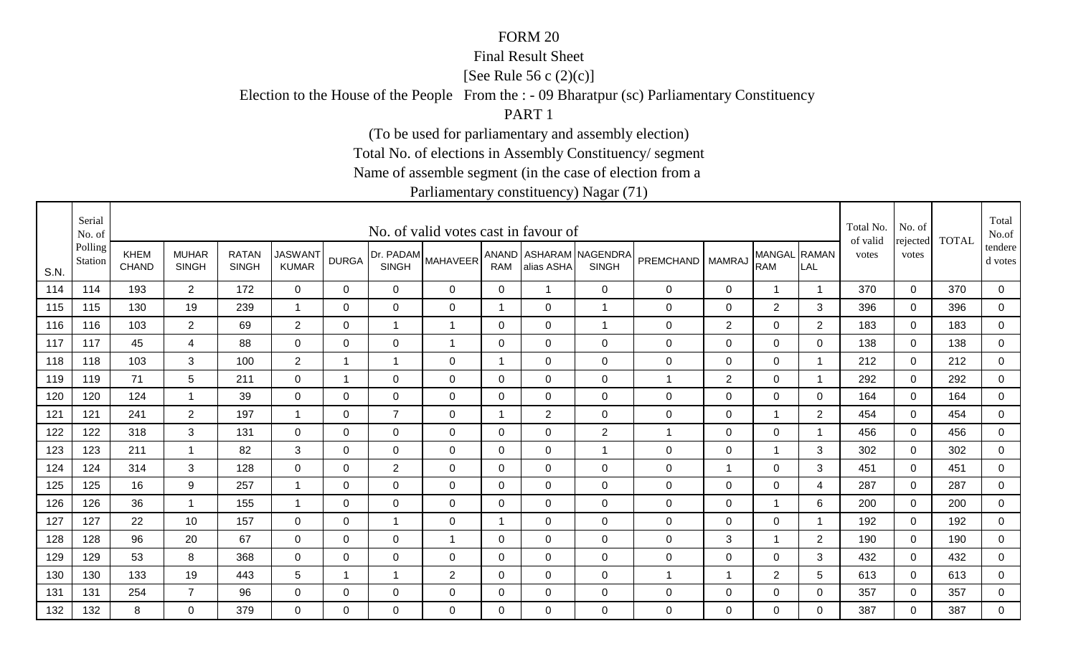#### Final Result Sheet

[See Rule 56 c (2)(c)]

Election to the House of the People From the : - 09 Bharatpur (sc) Parliamentary Constituency

PART 1

(To be used for parliamentary and assembly election)

Total No. of elections in Assembly Constituency/ segment

Name of assemble segment (in the case of election from a

|      | Serial<br>No. of   |                      |                              |                              |                                |                |                | No. of valid votes cast in favour of |             |                |                                        |                  |                |                            |                         | Total No.<br>of valid | No. of            | <b>TOTAL</b> | Total<br>No.of     |
|------|--------------------|----------------------|------------------------------|------------------------------|--------------------------------|----------------|----------------|--------------------------------------|-------------|----------------|----------------------------------------|------------------|----------------|----------------------------|-------------------------|-----------------------|-------------------|--------------|--------------------|
| S.N. | Polling<br>Station | KHEM<br><b>CHAND</b> | <b>MUHAR</b><br><b>SINGH</b> | <b>RATAN</b><br><b>SINGH</b> | <b>JASWANT</b><br><b>KUMAR</b> | <b>DURGA</b>   | <b>SINGH</b>   | (Dr. PADAM MAHAVEER <sup>!</sup>     | <b>RAM</b>  | alias ASHA     | ANAND ASHARAM NAGENDRA<br><b>SINGH</b> | PREMCHAND        | <b>MAMRAJ</b>  | MANGAL RAMAN<br><b>RAM</b> | LAL                     | votes                 | rejected<br>votes |              | tendere<br>d votes |
| 114  | 114                | 193                  | $2^{\circ}$                  | 172                          | $\overline{0}$                 | 0              | $\overline{0}$ | $\mathbf 0$                          | $\mathbf 0$ | $\overline{1}$ | $\overline{0}$                         | $\boldsymbol{0}$ | $\mathbf 0$    | $\overline{1}$             | $\overline{\mathbf{1}}$ | 370                   | $\mathbf 0$       | 370          | $\overline{0}$     |
| 115  | 115                | 130                  | 19                           | 239                          | $\overline{1}$                 | $\mathbf 0$    | $\mathbf 0$    | $\mathbf 0$                          | 1           | $\mathbf 0$    | $\overline{1}$                         | $\boldsymbol{0}$ | $\mathbf 0$    | $\overline{2}$             | 3                       | 396                   | $\overline{0}$    | 396          | $\overline{0}$     |
| 116  | 116                | 103                  | 2 <sup>1</sup>               | 69                           | $\overline{2}$                 | 0              | $\mathbf{1}$   | $\mathbf 1$                          | 0           | 0              | $\overline{1}$                         | 0                | $\overline{2}$ | 0                          | $\overline{2}$          | 183                   | 0                 | 183          | 0                  |
| 117  | 117                | 45                   | 4                            | 88                           | 0                              | 0              | 0              | 1                                    | 0           | 0              | $\mathbf 0$                            | $\mathbf 0$      | 0              | $\mathbf 0$                | 0                       | 138                   | $\Omega$          | 138          | 0                  |
| 118  | 118                | 103                  | 3                            | 100                          | $\overline{2}$                 | -1             | $\mathbf{1}$   | $\mathbf{0}$                         | -1          | $\Omega$       | $\Omega$                               | $\mathbf 0$      | 0              | $\mathbf 0$                | - 1                     | 212                   | $\Omega$          | 212          | $\mathbf 0$        |
| 119  | 119                | 71                   | 5                            | 211                          | $\mathbf 0$                    | $\overline{1}$ | 0              | 0                                    | 0           | 0              | $\mathbf 0$                            | 1                | 2              | $\mathbf 0$                | $\overline{\mathbf{1}}$ | 292                   | $\mathbf 0$       | 292          | 0                  |
| 120  | 120                | 124                  | -1                           | 39                           | 0                              | 0              | $\mathbf 0$    | $\mathbf 0$                          | 0           | 0              | $\overline{0}$                         | $\mathbf 0$      | 0              | $\mathbf 0$                | 0                       | 164                   | $\Omega$          | 164          | 0                  |
| 121  | 121                | 241                  | $\overline{2}$               | 197                          | $\mathbf{1}$                   | 0              | $\overline{7}$ | 0                                    | -1          | $\overline{2}$ | $\mathbf 0$                            | 0                | $\mathbf 0$    | 1                          | $\overline{c}$          | 454                   | 0                 | 454          | 0                  |
| 122  | 122                | 318                  | 3                            | 131                          | $\mathbf 0$                    | 0              | 0              | 0                                    | 0           | 0              | 2                                      | 1                | 0              | $\mathbf 0$                | - 1                     | 456                   | $\Omega$          | 456          | 0                  |
| 123  | 123                | 211                  | -1                           | 82                           | 3                              | $\Omega$       | $\Omega$       | $\mathbf 0$                          | $\Omega$    | $\overline{0}$ | $\overline{1}$                         | $\mathbf 0$      | $\mathbf 0$    | $\mathbf{1}$               | 3                       | 302                   | $\Omega$          | 302          | $\overline{0}$     |
| 124  | 124                | 314                  | 3                            | 128                          | $\overline{0}$                 | 0              | $\overline{2}$ | $\mathbf 0$                          | $\mathbf 0$ | $\mathbf 0$    | $\mathbf 0$                            | $\mathbf 0$      | $\overline{1}$ | $\pmb{0}$                  | 3                       | 451                   | $\mathbf 0$       | 451          | $\overline{0}$     |
| 125  | 125                | 16                   | 9                            | 257                          | -1                             | $\Omega$       | $\mathbf 0$    | $\mathbf 0$                          | $\mathbf 0$ | $\overline{0}$ | $\overline{0}$                         | $\mathbf 0$      | $\mathbf 0$    | $\mathbf 0$                | 4                       | 287                   | $\mathbf 0$       | 287          | 0                  |
| 126  | 126                | 36                   | $\overline{\mathbf{1}}$      | 155                          | $\mathbf{1}$                   | $\mathbf 0$    | $\mathbf 0$    | $\mathbf 0$                          | $\mathbf 0$ | $\mathbf 0$    | $\mathbf 0$                            | $\mathsf 0$      | $\mathbf 0$    | $\mathbf{1}$               | 6                       | 200                   | $\mathbf 0$       | 200          | $\mathbf 0$        |
| 127  | 127                | 22                   | 10 <sup>°</sup>              | 157                          | $\mathbf 0$                    | $\Omega$       | $\mathbf 1$    | $\mathbf{0}$                         | 1           | $\Omega$       | $\mathbf 0$                            | 0                | $\Omega$       | 0                          | - 1                     | 192                   | $\Omega$          | 192          | $\mathbf 0$        |
| 128  | 128                | 96                   | 20                           | 67                           | 0                              | $\Omega$       | $\Omega$       | 1                                    | $\Omega$    | $\overline{0}$ | $\mathbf 0$                            | $\mathbf 0$      | 3              | 1                          | 2                       | 190                   | $\Omega$          | 190          | 0                  |
| 129  | 129                | 53                   | 8                            | 368                          | 0                              | 0              | 0              | 0                                    | 0           | $\mathbf 0$    | $\mathbf 0$                            | $\mathbf 0$      | $\mathbf 0$    | $\mathbf 0$                | 3                       | 432                   | 0                 | 432          | $\mathbf 0$        |
| 130  | 130                | 133                  | 19                           | 443                          | 5                              | -1             | $\mathbf 1$    | $\overline{2}$                       | 0           | 0              | $\mathbf 0$                            | $\mathbf 1$      | -1             | $\overline{2}$             | 5                       | 613                   | 0                 | 613          | 0                  |
| 131  | 131                | 254                  | $\overline{7}$               | 96                           | 0                              | 0              | 0              | 0                                    | $\mathbf 0$ | 0              | $\mathbf 0$                            | $\mathbf 0$      | $\mathbf 0$    | $\pmb{0}$                  | 0                       | 357                   | 0                 | 357          | $\overline{0}$     |
| 132  | 132                | 8                    | $\Omega$                     | 379                          | $\Omega$                       | $\Omega$       | $\Omega$       | $\mathbf{0}$                         | $\Omega$    | $\Omega$       | $\overline{0}$                         | 0                | $\Omega$       | $\overline{0}$             | $\Omega$                | 387                   | $\Omega$          | 387          | $\mathbf 0$        |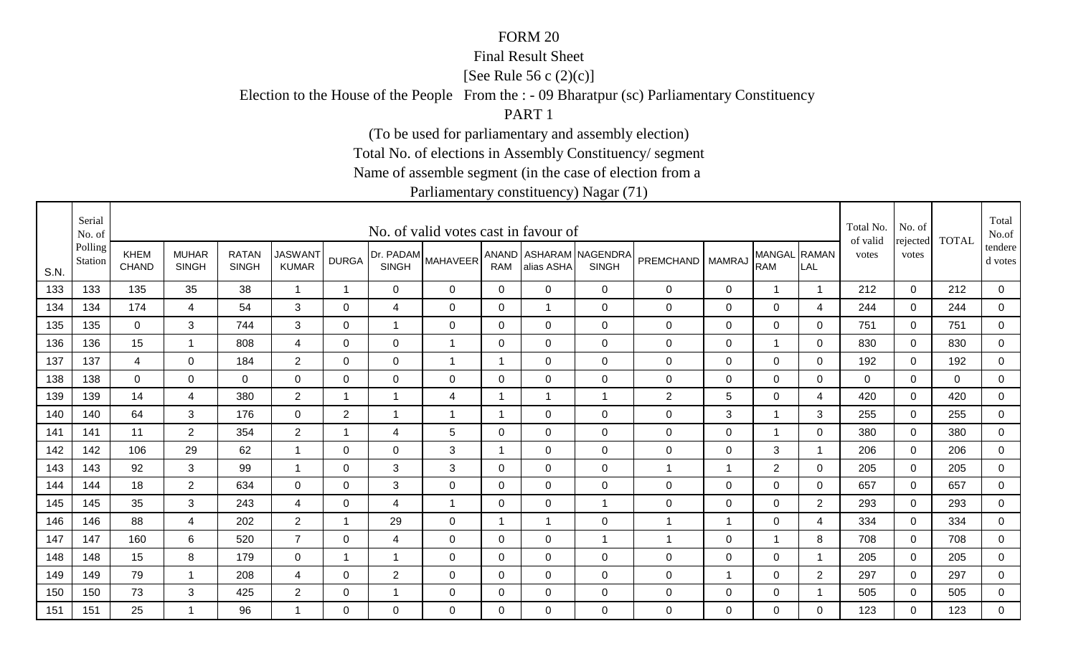#### Final Result Sheet

[See Rule 56 c (2)(c)]

Election to the House of the People From the : - 09 Bharatpur (sc) Parliamentary Constituency

PART 1

(To be used for parliamentary and assembly election)

Total No. of elections in Assembly Constituency/ segment

Name of assemble segment (in the case of election from a

|      | Serial<br>No. of   |                             |                              |                              |                                |                |                           | No. of valid votes cast in favour of |             |                |                                        |                  |               |                            |                | Total No.<br>of valid | No. of            | <b>TOTAL</b> | Total<br>No.of     |
|------|--------------------|-----------------------------|------------------------------|------------------------------|--------------------------------|----------------|---------------------------|--------------------------------------|-------------|----------------|----------------------------------------|------------------|---------------|----------------------------|----------------|-----------------------|-------------------|--------------|--------------------|
| S.N. | Polling<br>Station | <b>KHEM</b><br><b>CHAND</b> | <b>MUHAR</b><br><b>SINGH</b> | <b>RATAN</b><br><b>SINGH</b> | <b>JASWANT</b><br><b>KUMAR</b> | <b>DURGA</b>   | Dr. PADAM<br><b>SINGH</b> | <b>MAHAVEER</b>                      | <b>RAM</b>  | alias ASHA     | ANAND ASHARAM NAGENDRA<br><b>SINGH</b> | <b>PREMCHAND</b> | <b>MAMRAJ</b> | MANGAL RAMAN<br><b>RAM</b> | LAL            | votes                 | rejected<br>votes |              | tendere<br>d votes |
| 133  | 133                | 135                         | 35                           | 38                           | $\mathbf{1}$                   | $\mathbf{1}$   | $\mathbf 0$               | $\mathbf 0$                          | $\mathbf 0$ | $\mathbf 0$    | $\overline{0}$                         | 0                | $\mathsf 0$   | $\mathbf{1}$               | $\overline{1}$ | 212                   | $\mathbf 0$       | 212          | $\mathbf 0$        |
| 134  | 134                | 174                         | $\overline{4}$               | 54                           | 3                              | $\Omega$       | $\overline{4}$            | $\mathbf 0$                          | $\mathbf 0$ | -1             | $\mathsf{O}\xspace$                    | 0                | $\mathsf 0$   | $\mathbf 0$                | 4              | 244                   | $\mathbf 0$       | 244          | $\mathbf 0$        |
| 135  | 135                | $\mathbf 0$                 | 3                            | 744                          | 3                              | 0              | 1                         | 0                                    | 0           | 0              | $\mathbf 0$                            | 0                | $\pmb{0}$     | $\mathbf 0$                | $\mathbf 0$    | 751                   | 0                 | 751          | $\mathbf 0$        |
| 136  | 136                | 15                          | $\overline{\mathbf{1}}$      | 808                          | 4                              | 0              | 0                         | $\mathbf 1$                          | 0           | 0              | $\mathbf 0$                            | 0                | $\mathbf 0$   | $\mathbf 1$                | 0              | 830                   | $\mathbf 0$       | 830          | $\mathbf 0$        |
| 137  | 137                | 4                           | $\Omega$                     | 184                          | $\overline{2}$                 | $\Omega$       | 0                         | $\overline{1}$                       | -1          | $\mathbf{0}$   | $\mathbf 0$                            | 0                | 0             | $\mathbf 0$                | $\Omega$       | 192                   | $\mathbf{0}$      | 192          | $\mathbf 0$        |
| 138  | 138                | 0                           | $\mathbf 0$                  | 0                            | 0                              | 0              | 0                         | $\mathbf 0$                          | 0           | 0              | $\mathbf 0$                            | 0                | 0             | 0                          | $\mathbf 0$    | 0                     | $\mathbf 0$       | 0            | $\mathbf 0$        |
| 139  | 139                | 14                          | 4                            | 380                          | $\overline{2}$                 | $\overline{1}$ | $\overline{1}$            | 4                                    | -1          | -1             | $\overline{1}$                         | $\overline{2}$   | 5             | $\mathbf 0$                | $\overline{4}$ | 420                   | $\mathbf 0$       | 420          | $\mathbf 0$        |
| 140  | 140                | 64                          | 3                            | 176                          | $\mathbf 0$                    | $\overline{2}$ | 1                         | $\mathbf 1$                          | -1          | 0              | $\mathbf 0$                            | 0                | 3             | $\overline{1}$             | 3              | 255                   | 0                 | 255          | $\mathbf 0$        |
| 141  | 141                | 11                          | $\overline{2}$               | 354                          | $\overline{2}$                 | -1             | 4                         | 5                                    | 0           | 0              | $\mathbf 0$                            | 0                | $\mathbf 0$   | $\overline{1}$             | 0              | 380                   | $\mathbf 0$       | 380          | $\mathbf 0$        |
| 142  | 142                | 106                         | 29                           | 62                           | -1                             | $\Omega$       | 0                         | 3                                    | -1          | $\mathbf{0}$   | $\overline{0}$                         | 0                | $\mathbf 0$   | 3                          |                | 206                   | $\mathbf{0}$      | 206          | $\mathsf 0$        |
| 143  | 143                | 92                          | 3                            | 99                           | $\overline{1}$                 | 0              | $\sqrt{3}$                | $\mathbf{3}$                         | $\mathbf 0$ | $\mathbf 0$    | $\mathbf 0$                            | $\mathbf{1}$     | 1             | $\overline{2}$             | 0              | 205                   | $\mathbf 0$       | 205          | $\overline{0}$     |
| 144  | 144                | 18                          | $\overline{2}$               | 634                          | $\mathbf 0$                    | $\Omega$       | 3                         | $\mathbf 0$                          | $\mathbf 0$ | $\overline{0}$ | $\mathbf 0$                            | 0                | $\mathsf 0$   | $\mathbf 0$                | 0              | 657                   | $\mathbf 0$       | 657          | $\mathbf 0$        |
| 145  | 145                | 35                          | 3                            | 243                          | 4                              | 0              | 4                         | $\mathbf 1$                          | 0           | $\mathbf 0$    | $\mathbf{1}$                           | 0                | $\mathsf 0$   | $\mathbf 0$                | $\overline{2}$ | 293                   | $\mathbf 0$       | 293          | $\overline{0}$     |
| 146  | 146                | 88                          | 4                            | 202                          | $\overline{2}$                 | $\mathbf{1}$   | 29                        | $\Omega$                             | 1           | -1             | $\mathbf 0$                            | $\mathbf 1$      | 1             | $\mathbf 0$                | 4              | 334                   | $\mathbf{0}$      | 334          | $\mathbf 0$        |
| 147  | 147                | 160                         | 6                            | 520                          | $\overline{7}$                 | $\Omega$       | $\overline{4}$            | 0                                    | $\Omega$    | 0              | $\mathbf{1}$                           | 1                | $\mathbf 0$   | $\overline{1}$             | 8              | 708                   | $\Omega$          | 708          | $\overline{0}$     |
| 148  | 148                | 15                          | 8                            | 179                          | $\mathbf 0$                    | $\mathbf 1$    | $\overline{1}$            | $\mathbf 0$                          | 0           | $\mathbf 0$    | $\mathbf 0$                            | 0                | $\mathbf 0$   | $\mathbf 0$                |                | 205                   | $\mathbf 0$       | 205          | $\mathbf 0$        |
| 149  | 149                | 79                          | $\mathbf 1$                  | 208                          | 4                              | 0              | $\overline{2}$            | 0                                    | 0           | 0              | $\mathbf 0$                            | 0                | 1             | $\mathbf 0$                | $\overline{2}$ | 297                   | 0                 | 297          | $\mathbf 0$        |
| 150  | 150                | 73                          | 3                            | 425                          | $\overline{2}$                 | 0              | 1                         | 0                                    | $\mathbf 0$ | 0              | $\mathbf 0$                            | 0                | $\pmb{0}$     | $\mathbf 0$                |                | 505                   | $\mathbf 0$       | 505          | $\overline{0}$     |
| 151  | 151                | 25                          | $\mathbf 1$                  | 96                           |                                | $\Omega$       | $\Omega$                  | $\Omega$                             | $\Omega$    | $\Omega$       | $\overline{0}$                         | 0                | $\Omega$      | $\mathbf 0$                | $\Omega$       | 123                   | $\Omega$          | 123          | $\mathbf 0$        |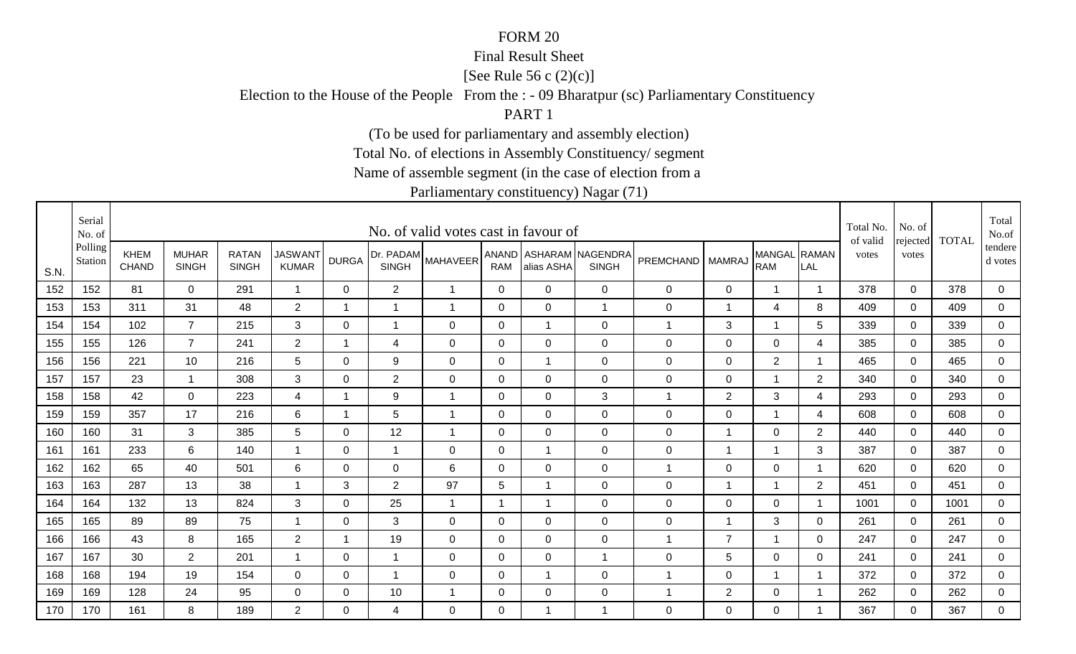#### Final Result Sheet

[See Rule 56 c (2)(c)]

Election to the House of the People From the : - 09 Bharatpur (sc) Parliamentary Constituency

PART 1

(To be used for parliamentary and assembly election)

Total No. of elections in Assembly Constituency/ segment

Name of assemble segment (in the case of election from a

|      | Serial<br>No. of   |                             |                              |                              |                                |              |                           | No. of valid votes cast in favour of |                         |                |                                        |                    |                         |                            |                          | Total No.<br>of valid | No. of            | <b>TOTAL</b> | Total<br>No.of     |
|------|--------------------|-----------------------------|------------------------------|------------------------------|--------------------------------|--------------|---------------------------|--------------------------------------|-------------------------|----------------|----------------------------------------|--------------------|-------------------------|----------------------------|--------------------------|-----------------------|-------------------|--------------|--------------------|
| S.N. | Polling<br>Station | <b>KHEM</b><br><b>CHAND</b> | <b>MUHAR</b><br><b>SINGH</b> | <b>RATAN</b><br><b>SINGH</b> | <b>JASWANT</b><br><b>KUMAR</b> | <b>DURGA</b> | Dr. PADAM<br><b>SINGH</b> | <b>MAHAVEER</b>                      | <b>RAM</b>              | alias ASHA     | ANAND ASHARAM NAGENDRA<br><b>SINGH</b> | PREMCHAND   MAMRAJ |                         | MANGAL RAMAN<br><b>RAM</b> | LAL                      | votes                 | rejected<br>votes |              | tendere<br>d votes |
| 152  | 152                | 81                          | $\overline{0}$               | 291                          | $\overline{1}$                 | 0            | $\overline{2}$            | $\overline{1}$                       | $\overline{0}$          | $\mathbf 0$    | $\mathbf 0$                            | $\pmb{0}$          | $\mathbf 0$             | $\mathbf 1$                | $\overline{\mathbf{1}}$  | 378                   | $\mathbf 0$       | 378          | $\mathbf 0$        |
| 153  | 153                | 311                         | 31                           | 48                           | $\overline{2}$                 | 1            | $\overline{1}$            | $\overline{1}$                       | $\mathbf 0$             | $\mathbf 0$    | $\overline{1}$                         | $\pmb{0}$          | 1                       | $\overline{4}$             | 8                        | 409                   | $\mathbf 0$       | 409          | $\overline{0}$     |
| 154  | 154                | 102                         | $\overline{7}$               | 215                          | 3                              | 0            | $\mathbf 1$               | $\mathbf 0$                          | 0                       | $\mathbf{1}$   | $\mathbf 0$                            | 1                  | 3                       | -1                         | 5                        | 339                   | 0                 | 339          | $\mathbf 0$        |
| 155  | 155                | 126                         | $\overline{7}$               | 241                          | $\overline{2}$                 | 1            | 4                         | $\mathbf 0$                          | $\mathbf{0}$            | $\Omega$       | $\mathbf 0$                            | $\mathbf 0$        | $\mathbf 0$             | $\mathbf 0$                | 4                        | 385                   | $\mathbf 0$       | 385          | $\mathbf 0$        |
| 156  | 156                | 221                         | 10                           | 216                          | 5                              | $\mathbf 0$  | 9                         | $\mathbf 0$                          | $\mathbf 0$             | $\mathbf{1}$   | $\mathbf 0$                            | $\mathbf 0$        | $\mathbf 0$             | $\overline{2}$             | $\overline{\phantom{a}}$ | 465                   | $\mathbf 0$       | 465          | $\overline{0}$     |
| 157  | 157                | 23                          | $\overline{1}$               | 308                          | 3                              | 0            | $\overline{2}$            | $\mathbf 0$                          | $\mathbf 0$             | $\mathbf 0$    | $\mathbf 0$                            | $\pmb{0}$          | $\mathbf 0$             | $\mathbf{1}$               | 2                        | 340                   | $\mathbf 0$       | 340          | $\overline{0}$     |
| 158  | 158                | 42                          | $\mathbf 0$                  | 223                          | 4                              | 1            | 9                         | $\overline{1}$                       | $\mathbf 0$             | $\mathbf 0$    | 3                                      | 1                  | $\overline{2}$          | 3                          | 4                        | 293                   | $\Omega$          | 293          | 0                  |
| 159  | 159                | 357                         | 17                           | 216                          | 6                              | 1            | 5                         | $\overline{1}$                       | 0                       | $\mathbf 0$    | $\mathbf 0$                            | $\pmb{0}$          | 0                       | $\mathbf 1$                | 4                        | 608                   | 0                 | 608          | 0                  |
| 160  | 160                | 31                          | 3                            | 385                          | 5                              | 0            | 12                        | $\overline{1}$                       | 0                       | $\mathbf 0$    | $\mathbf 0$                            | $\mathbf 0$        | -1                      | $\mathbf 0$                | $\overline{2}$           | 440                   | $\mathbf{0}$      | 440          | 0                  |
| 161  | 161                | 233                         | 6                            | 140                          |                                | 0            | $\mathbf{1}$              | $\mathbf 0$                          | 0                       | $\mathbf 1$    | $\mathbf 0$                            | $\mathbf 0$        | -1                      | $\overline{1}$             | 3                        | 387                   | $\Omega$          | 387          | $\mathbf 0$        |
| 162  | 162                | 65                          | 40                           | 501                          | 6                              | $\Omega$     | $\mathbf 0$               | $6\phantom{1}6$                      | $\mathbf 0$             | $\mathbf 0$    | $\mathbf 0$                            | 1                  | $\mathbf 0$             | $\mathbf 0$                |                          | 620                   | $\mathbf 0$       | 620          | $\overline{0}$     |
| 163  | 163                | 287                         | 13                           | 38                           |                                | 3            | 2                         | 97                                   | 5                       | $\overline{1}$ | $\mathbf 0$                            | 0                  | $\overline{\mathbf{1}}$ | -1                         | $\overline{2}$           | 451                   | $\mathbf 0$       | 451          | 0                  |
| 164  | 164                | 132                         | 13                           | 824                          | 3                              | 0            | 25                        | $\mathbf 1$                          | $\overline{\mathbf{1}}$ | $\mathbf 1$    | $\mathbf 0$                            | $\mathbf 0$        | 0                       | $\mathbf 0$                |                          | 1001                  | 0                 | 1001         | $\overline{0}$     |
| 165  | 165                | 89                          | 89                           | 75                           |                                | 0            | 3                         | 0                                    | 0                       | $\mathbf 0$    | $\mathbf 0$                            | $\mathbf 0$        | -1                      | 3                          | 0                        | 261                   | $\mathbf{0}$      | 261          | $\overline{0}$     |
| 166  | 166                | 43                          | 8                            | 165                          | $\overline{2}$                 | 1            | 19                        | $\mathbf 0$                          | $\mathbf{0}$            | $\overline{0}$ | $\mathbf 0$                            | 1                  | $\overline{7}$          | $\mathbf 1$                | 0                        | 247                   | $\mathbf 0$       | 247          | $\mathbf 0$        |
| 167  | 167                | 30                          | $\overline{c}$               | 201                          |                                | 0            | $\mathbf 1$               | $\mathbf 0$                          | 0                       | $\overline{0}$ | $\overline{1}$                         | $\mathbf 0$        | 5                       | 0                          | 0                        | 241                   | $\mathbf 0$       | 241          | $\mathbf 0$        |
| 168  | 168                | 194                         | 19                           | 154                          | $\mathbf 0$                    | 0            | $\mathbf 1$               | $\mathbf 0$                          | 0                       | $\mathbf 1$    | $\mathbf 0$                            | 1                  | $\mathbf 0$             | 1                          |                          | 372                   | $\mathbf 0$       | 372          | 0                  |
| 169  | 169                | 128                         | 24                           | 95                           | $\mathbf 0$                    | 0            | 10                        | -1                                   | 0                       | $\mathbf 0$    | $\mathbf 0$                            | 1                  | $\overline{2}$          | $\mathbf 0$                |                          | 262                   | $\mathbf 0$       | 262          | $\overline{0}$     |
| 170  | 170                | 161                         | 8                            | 189                          | $\overline{2}$                 | $\Omega$     | 4                         | $\Omega$                             | $\Omega$                | $\mathbf 1$    |                                        | 0                  | $\mathbf{0}$            | $\mathbf 0$                |                          | 367                   | $\Omega$          | 367          | $\mathbf 0$        |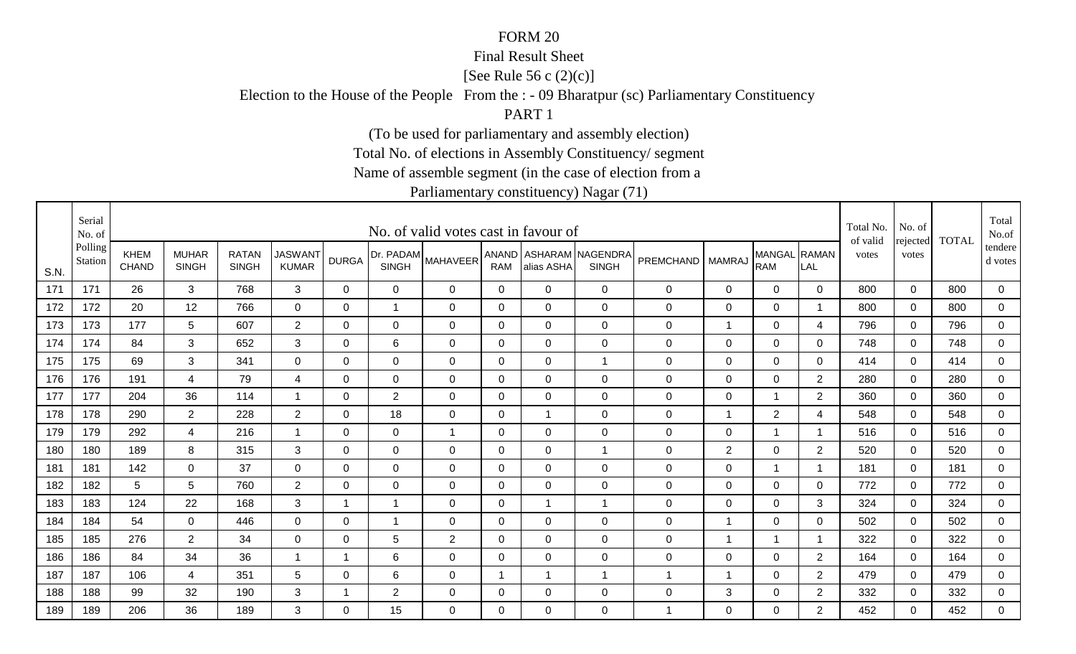#### Final Result Sheet

[See Rule 56 c (2)(c)]

Election to the House of the People From the : - 09 Bharatpur (sc) Parliamentary Constituency

PART 1

(To be used for parliamentary and assembly election)

Total No. of elections in Assembly Constituency/ segment

Name of assemble segment (in the case of election from a

|      | Serial<br>No. of   |                             |                              |                              |                                |              |                           | No. of valid votes cast in favour of |              |                |                                        |                  |                |                            |                | Total No.<br>of valid | No. of            | <b>TOTAL</b> | Total<br>No.of     |
|------|--------------------|-----------------------------|------------------------------|------------------------------|--------------------------------|--------------|---------------------------|--------------------------------------|--------------|----------------|----------------------------------------|------------------|----------------|----------------------------|----------------|-----------------------|-------------------|--------------|--------------------|
| S.N. | Polling<br>Station | <b>KHEM</b><br><b>CHAND</b> | <b>MUHAR</b><br><b>SINGH</b> | <b>RATAN</b><br><b>SINGH</b> | <b>JASWANT</b><br><b>KUMAR</b> | <b>DURGA</b> | Dr. PADAM<br><b>SINGH</b> | <b>MAHAVEER</b>                      | <b>RAM</b>   | alias ASHA     | ANAND ASHARAM NAGENDRA<br><b>SINGH</b> | PREMCHAND        | <b>MAMRAJ</b>  | MANGAL RAMAN<br><b>RAM</b> | LAL            | votes                 | rejected<br>votes |              | tendere<br>d votes |
| 171  | 171                | 26                          | 3                            | 768                          | 3                              | $\mathbf 0$  | $\mathbf 0$               | $\overline{0}$                       | $\mathbf 0$  | $\overline{0}$ | $\mathbf 0$                            | $\mathsf 0$      | $\mathbf 0$    | $\mathbf 0$                | $\mathbf 0$    | 800                   | $\mathbf 0$       | 800          | $\mathbf 0$        |
| 172  | 172                | 20                          | 12                           | 766                          | $\mathbf 0$                    | $\mathbf 0$  | 1                         | $\mathbf 0$                          | $\mathbf{0}$ | $\mathbf 0$    | $\mathbf 0$                            | $\mathbf 0$      | $\mathbf 0$    | $\mathbf 0$                | -1             | 800                   | $\mathbf 0$       | 800          | $\mathbf 0$        |
| 173  | 173                | 177                         | $5\overline{)}$              | 607                          | $\overline{2}$                 | 0            | $\mathbf 0$               | $\overline{0}$                       | 0            | 0              | $\mathbf 0$                            | 0                | $\overline{1}$ | $\mathbf 0$                | 4              | 796                   | 0                 | 796          | $\mathbf 0$        |
| 174  | 174                | 84                          | 3                            | 652                          | 3                              | 0            | 6                         | 0                                    | $\mathbf 0$  | $\mathbf{0}$   | $\mathbf 0$                            | 0                | $\mathbf 0$    | $\mathbf 0$                | 0              | 748                   | $\Omega$          | 748          | 0                  |
| 175  | 175                | 69                          | 3                            | 341                          | 0                              | $\Omega$     | 0                         | $\overline{0}$                       | 0            | 0              | $\mathbf{1}$                           | $\mathbf 0$      | $\mathbf 0$    | $\mathbf 0$                | 0              | 414                   | $\Omega$          | 414          | $\overline{0}$     |
| 176  | 176                | 191                         | 4                            | 79                           | 4                              | 0            | $\mathbf 0$               | $\mathbf 0$                          | 0            | $\Omega$       | $\mathbf 0$                            | $\mathbf 0$      | $\mathbf 0$    | $\mathbf 0$                | $\overline{2}$ | 280                   | 0                 | 280          | $\overline{0}$     |
| 177  | 177                | 204                         | 36                           | 114                          |                                | $\Omega$     | $\overline{2}$            | $\mathbf 0$                          | $\Omega$     | $\Omega$       | $\mathbf 0$                            | 0                | 0              |                            | $\overline{2}$ | 360                   | $\Omega$          | 360          | 0                  |
| 178  | 178                | 290                         | $\overline{2}$               | 228                          | $\overline{2}$                 | 0            | 18                        | $\mathbf 0$                          | 0            |                | $\mathbf 0$                            | $\pmb{0}$        | $\overline{1}$ | $\overline{2}$             | 4              | 548                   | 0                 | 548          | $\mathbf 0$        |
| 179  | 179                | 292                         | 4                            | 216                          |                                | $\Omega$     | 0                         | $\overline{1}$                       | $\Omega$     | $\Omega$       | $\mathbf 0$                            | $\mathbf 0$      | $\mathbf 0$    |                            | -1             | 516                   | $\Omega$          | 516          | 0                  |
| 180  | 180                | 189                         | 8                            | 315                          | 3                              | 0            | 0                         | $\overline{0}$                       | 0            | 0              | $\overline{1}$                         | $\mathbf 0$      | 2              | $\mathbf 0$                | 2              | 520                   | 0                 | 520          | $\mathbf 0$        |
| 181  | 181                | 142                         | $\mathbf 0$                  | 37                           | $\overline{0}$                 | 0            | $\mathbf 0$               | $\mathbf 0$                          | $\mathbf 0$  | 0              | $\mathbf 0$                            | $\mathbf 0$      | $\mathbf 0$    | $\mathbf{1}$               |                | 181                   | 0                 | 181          | $\mathbf 0$        |
| 182  | 182                | 5                           | 5                            | 760                          | $\overline{2}$                 | $\Omega$     | $\mathbf 0$               | $\mathbf 0$                          | 0            | $\Omega$       | $\mathbf 0$                            | $\mathbf 0$      | 0              | $\mathbf 0$                | 0              | 772                   | $\Omega$          | 772          | $\mathbf 0$        |
| 183  | 183                | 124                         | 22                           | 168                          | 3                              | 1            | 1                         | $\overline{0}$                       | 0            |                | $\overline{1}$                         | $\mathbf 0$      | $\mathbf 0$    | $\mathbf 0$                | 3              | 324                   | 0                 | 324          | $\mathbf 0$        |
| 184  | 184                | 54                          | 0                            | 446                          | 0                              | $\Omega$     | 1                         | 0                                    | $\mathbf{0}$ | $\Omega$       | $\mathbf 0$                            | 0                | $\mathbf 1$    | $\mathbf 0$                | $\Omega$       | 502                   | $\Omega$          | 502          | 0                  |
| 185  | 185                | 276                         | $\overline{2}$               | 34                           | $\mathbf 0$                    | $\Omega$     | 5                         | 2                                    | $\mathbf 0$  | $\mathbf 0$    | $\mathbf 0$                            | $\boldsymbol{0}$ | $\mathbf 1$    |                            | -1             | 322                   | $\mathbf 0$       | 322          | $\mathbf 0$        |
| 186  | 186                | 84                          | 34                           | 36                           | -1                             | $\mathbf 1$  | 6                         | $\overline{0}$                       | 0            | 0              | $\mathbf 0$                            | $\mathbf 0$      | 0              | 0                          | $\overline{2}$ | 164                   | 0                 | 164          | 0                  |
| 187  | 187                | 106                         | 4                            | 351                          | $5\phantom{.0}$                | 0            | 6                         | $\overline{0}$                       | -1           |                | $\overline{1}$                         | 1                | -1             | $\mathbf 0$                | $\overline{2}$ | 479                   | 0                 | 479          | 0                  |
| 188  | 188                | 99                          | 32                           | 190                          | 3                              | -1           | $\overline{c}$            | 0                                    | 0            | $\Omega$       | $\mathbf 0$                            | $\mathbf 0$      | 3              | $\mathbf 0$                | $\overline{c}$ | 332                   | 0                 | 332          | $\mathbf 0$        |
| 189  | 189                | 206                         | 36                           | 189                          | 3                              | $\Omega$     | 15                        | $\Omega$                             | $\Omega$     | $\Omega$       | $\Omega$                               | 1                | $\Omega$       | $\overline{0}$             | $\overline{2}$ | 452                   | $\Omega$          | 452          | $\Omega$           |